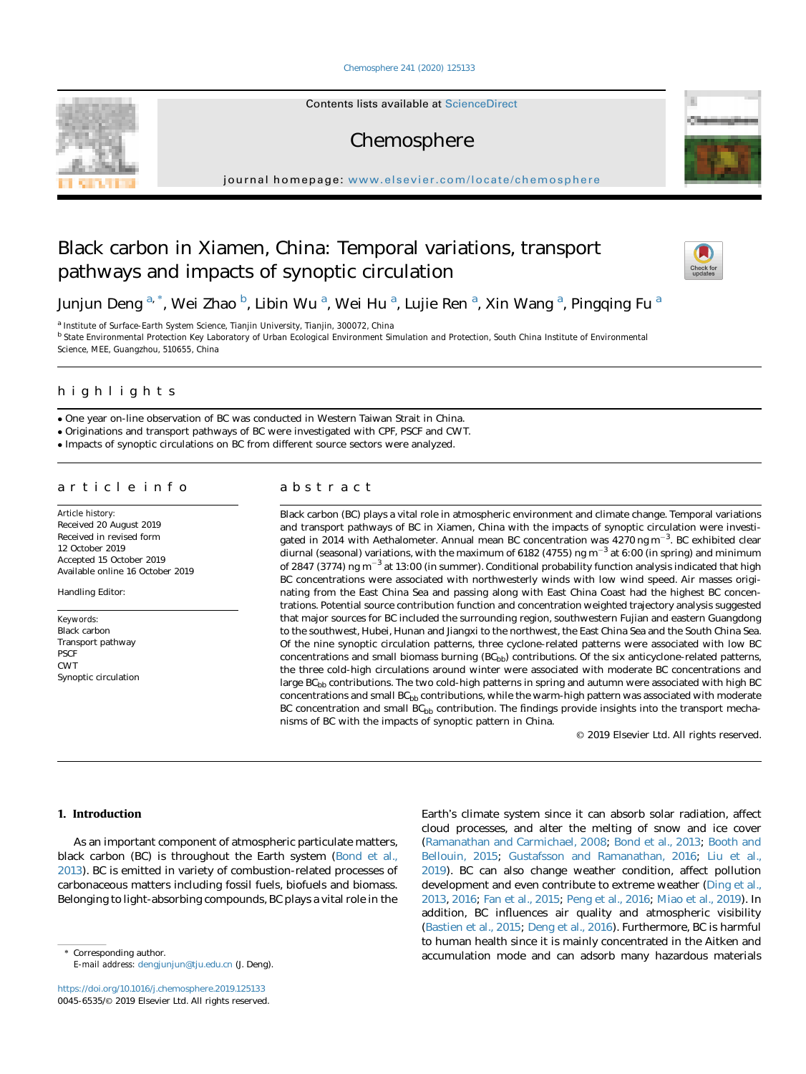## [Chemosphere 241 \(2020\) 125133](https://doi.org/10.1016/j.chemosphere.2019.125133)

Contents lists available at ScienceDirect

# Chemosphere

journal homepage: <www.elsevier.com/locate/chemosphere>

# Black carbon in Xiamen, China: Temporal variations, transport pathways and impacts of synoptic circulation



Junjun Deng <sup>a, \*</sup>, Wei Zhao <sup>b</sup>, Libin Wu <sup>a</sup>, Wei Hu <sup>a</sup>, Lujie Ren <sup>a</sup>, Xin Wang <sup>a</sup>, Pingqing Fu <sup>a</sup>

<sup>a</sup> Institute of Surface-Earth System Science, Tianjin University, Tianjin, 300072, China <sup>b</sup> State Environmental Protection Key Laboratory of Urban Ecological Environment Simulation and Protection, South China Institute of Environmental Science, MEE, Guangzhou, 510655, China

# highlights

One year on-line observation of BC was conducted in Western Taiwan Strait in China.

Originations and transport pathways of BC were investigated with CPF, PSCF and CWT.

Impacts of synoptic circulations on BC from different source sectors were analyzed.

#### article info article info

Article history: Received 20 August 2019 Received in revised form 12 October 2019 Accepted 15 October 2019 Available online 16 October 2019

Handling Editor:

Keywords: Black carbon Transport pathway PSCF CWT Synoptic circulation

# abstract

Black carbon (BC) plays a vital role in atmospheric environment and climate change. Temporal variations and transport pathways of BC in Xiamen, China with the impacts of synoptic circulation were investigated in 2014 with Aethalometer. Annual mean BC concentration was  $4270$  ng m<sup>-3</sup>. BC exhibited clear diurnal (seasonal) variations, with the maximum of 6182 (4755) ng  $m<sup>-3</sup>$  at 6:00 (in spring) and minimum of 2847 (3774) ng m<sup>-3</sup> at 13:00 (in summer). Conditional probability function analysis indicated that high BC concentrations were associated with northwesterly winds with low wind speed. Air masses originating from the East China Sea and passing along with East China Coast had the highest BC concentrations. Potential source contribution function and concentration weighted trajectory analysis suggested that major sources for BC included the surrounding region, southwestern Fujian and eastern Guangdong to the southwest, Hubei, Hunan and Jiangxi to the northwest, the East China Sea and the South China Sea. Of the nine synoptic circulation patterns, three cyclone-related patterns were associated with low BC concentrations and small biomass burning  $(BC_{bb})$  contributions. Of the six anticyclone-related patterns, the three cold-high circulations around winter were associated with moderate BC concentrations and large BC<sub>bb</sub> contributions. The two cold-high patterns in spring and autumn were associated with high BC concentrations and small  $BC_{bb}$  contributions, while the warm-high pattern was associated with moderate BC concentration and small  $BC_{bb}$  contribution. The findings provide insights into the transport mechanisms of BC with the impacts of synoptic pattern in China.

© 2019 Elsevier Ltd. All rights reserved.

# 1. Introduction

As an important component of atmospheric particulate matters, black carbon (BC) is throughout the Earth system [\(Bond et al.,](#page-10-0) [2013\)](#page-10-0). BC is emitted in variety of combustion-related processes of carbonaceous matters including fossil fuels, biofuels and biomass. Belonging to light-absorbing compounds, BC plays a vital role in the

E-mail address: [dengjunjun@tju.edu.cn](mailto:dengjunjun@tju.edu.cn) (J. Deng).

<https://doi.org/10.1016/j.chemosphere.2019.125133> 0045-6535/© 2019 Elsevier Ltd. All rights reserved.

Earth's climate system since it can absorb solar radiation, affect cloud processes, and alter the melting of snow and ice cover ([Ramanathan and Carmichael, 2008](#page-11-0); [Bond et al., 2013;](#page-10-0) [Booth and](#page-10-0) [Bellouin, 2015;](#page-10-0) [Gustafsson and Ramanathan, 2016;](#page-10-0) [Liu et al.,](#page-10-0) [2019\)](#page-10-0). BC can also change weather condition, affect pollution development and even contribute to extreme weather [\(Ding et al.,](#page-10-0) [2013,](#page-10-0) [2016](#page-10-0); [Fan et al., 2015;](#page-10-0) [Peng et al., 2016](#page-11-0); [Miao et al., 2019\)](#page-11-0). In addition, BC influences air quality and atmospheric visibility ([Bastien et al., 2015;](#page-10-0) [Deng et al., 2016\)](#page-10-0). Furthermore, BC is harmful to human health since it is mainly concentrated in the Aitken and Corresponding author. The corresponding author. The corresponding author. The corresponding author. The corresponding author.

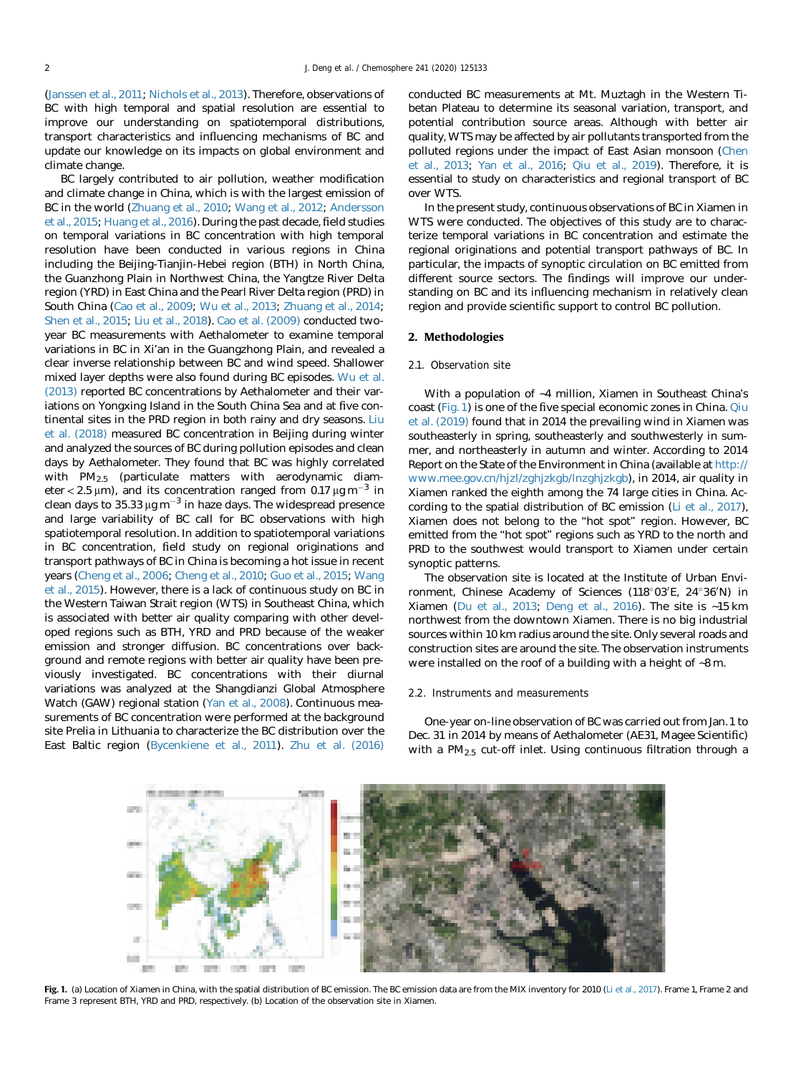<span id="page-1-0"></span>([Janssen et al., 2011](#page-10-0); [Nichols et al., 2013\)](#page-11-0). Therefore, observations of BC with high temporal and spatial resolution are essential to improve our understanding on spatiotemporal distributions, transport characteristics and influencing mechanisms of BC and update our knowledge on its impacts on global environment and climate change.

BC largely contributed to air pollution, weather modification and climate change in China, which is with the largest emission of BC in the world [\(Zhuang et al., 2010](#page-11-0); [Wang et al., 2012;](#page-11-0) [Andersson](#page-10-0) [et al., 2015](#page-10-0); [Huang et al., 2016\)](#page-10-0). During the past decade, field studies on temporal variations in BC concentration with high temporal resolution have been conducted in various regions in China including the Beijing-Tianjin-Hebei region (BTH) in North China, the Guanzhong Plain in Northwest China, the Yangtze River Delta region (YRD) in East China and the Pearl River Delta region (PRD) in South China [\(Cao et al., 2009](#page-10-0); [Wu et al., 2013](#page-11-0); [Zhuang et al., 2014](#page-11-0); [Shen et al., 2015](#page-11-0); [Liu et al., 2018](#page-10-0)). [Cao et al. \(2009\)](#page-10-0) conducted twoyear BC measurements with Aethalometer to examine temporal variations in BC in Xi'an in the Guangzhong Plain, and revealed a clear inverse relationship between BC and wind speed. Shallower mixed layer depths were also found during BC episodes. [Wu et al.](#page-11-0) [\(2013\)](#page-11-0) reported BC concentrations by Aethalometer and their variations on Yongxing Island in the South China Sea and at five continental sites in the PRD region in both rainy and dry seasons. [Liu](#page-10-0) [et al. \(2018\)](#page-10-0) measured BC concentration in Beijing during winter and analyzed the sources of BC during pollution episodes and clean days by Aethalometer. They found that BC was highly correlated with PM2.5 (particulate matters with aerodynamic diameter < 2.5  $\mu$ m), and its concentration ranged from 0.17  $\mu$ g m<sup>-3</sup> in clean days to  $35.33 \mu g m^{-3}$  in haze days. The widespread presence and large variability of BC call for BC observations with high spatiotemporal resolution. In addition to spatiotemporal variations in BC concentration, field study on regional originations and transport pathways of BC in China is becoming a hot issue in recent years ([Cheng et al., 2006](#page-10-0); [Cheng et al., 2010;](#page-10-0) [Guo et al., 2015](#page-10-0); [Wang](#page-11-0) [et al., 2015\)](#page-11-0). However, there is a lack of continuous study on BC in the Western Taiwan Strait region (WTS) in Southeast China, which is associated with better air quality comparing with other developed regions such as BTH, YRD and PRD because of the weaker emission and stronger diffusion. BC concentrations over background and remote regions with better air quality have been previously investigated. BC concentrations with their diurnal variations was analyzed at the Shangdianzi Global Atmosphere Watch (GAW) regional station ([Yan et al., 2008](#page-11-0)). Continuous measurements of BC concentration were performed at the background site Prelia in Lithuania to characterize the BC distribution over the East Baltic region [\(Bycenkiene et al., 2011\)](#page-10-0). [Zhu et al. \(2016\)](#page-11-0)

conducted BC measurements at Mt. Muztagh in the Western Tibetan Plateau to determine its seasonal variation, transport, and potential contribution source areas. Although with better air quality, WTS may be affected by air pollutants transported from the polluted regions under the impact of East Asian monsoon ([Chen](#page-10-0) [et al., 2013](#page-10-0); [Yan et al., 2016](#page-11-0); [Qiu et al., 2019](#page-11-0)). Therefore, it is essential to study on characteristics and regional transport of BC over WTS.

In the present study, continuous observations of BC in Xiamen in WTS were conducted. The objectives of this study are to characterize temporal variations in BC concentration and estimate the regional originations and potential transport pathways of BC. In particular, the impacts of synoptic circulation on BC emitted from different source sectors. The findings will improve our understanding on BC and its influencing mechanism in relatively clean region and provide scientific support to control BC pollution.

#### 2. Methodologies

## 2.1. Observation site

With a population of ~4 million, Xiamen in Southeast China's coast (Fig. 1) is one of the five special economic zones in China. [Qiu](#page-11-0) [et al. \(2019\)](#page-11-0) found that in 2014 the prevailing wind in Xiamen was southeasterly in spring, southeasterly and southwesterly in summer, and northeasterly in autumn and winter. According to 2014 Report on the State of the Environment in China (available at [http://](http://www.mee.gov.cn/hjzl/zghjzkgb/lnzghjzkgb) [www.mee.gov.cn/hjzl/zghjzkgb/lnzghjzkgb](http://www.mee.gov.cn/hjzl/zghjzkgb/lnzghjzkgb)), in 2014, air quality in Xiamen ranked the eighth among the 74 large cities in China. According to the spatial distribution of BC emission ([Li et al., 2017\)](#page-10-0), Xiamen does not belong to the "hot spot" region. However, BC emitted from the "hot spot" regions such as YRD to the north and PRD to the southwest would transport to Xiamen under certain synoptic patterns.

The observation site is located at the Institute of Urban Environment, Chinese Academy of Sciences (118°03'E, 24°36'N) in Xiamen ([Du et al., 2013;](#page-10-0) [Deng et al., 2016](#page-10-0)). The site is ~15 km northwest from the downtown Xiamen. There is no big industrial sources within 10 km radius around the site. Only several roads and construction sites are around the site. The observation instruments were installed on the roof of a building with a height of ~8 m.

#### 2.2. Instruments and measurements

One-year on-line observation of BC was carried out from Jan. 1 to Dec. 31 in 2014 by means of Aethalometer (AE31, Magee Scientific) with a  $PM_{2.5}$  cut-off inlet. Using continuous filtration through a



Fig. 1. (a) Location of Xiamen in China, with the spatial distribution of BC emission. The BC emission data are from the MIX inventory for 2010 [\(Li et al., 2017\)](#page-10-0). Frame 1, Frame 2 and Frame 3 represent BTH, YRD and PRD, respectively. (b) Location of the observation site in Xiamen.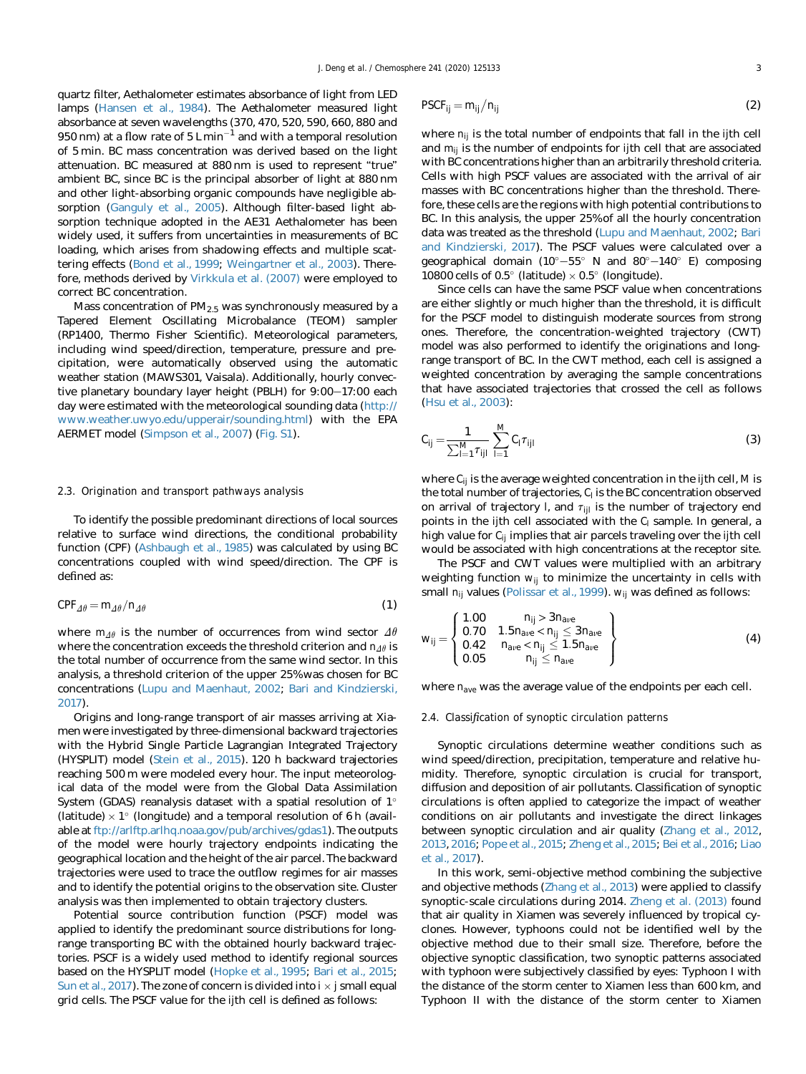quartz filter, Aethalometer estimates absorbance of light from LED lamps ([Hansen et al., 1984\)](#page-10-0). The Aethalometer measured light absorbance at seven wavelengths (370, 470, 520, 590, 660, 880 and 950 nm) at a flow rate of  $5 \text{ L} \text{ min}^{-1}$  and with a temporal resolution of 5 min. BC mass concentration was derived based on the light attenuation. BC measured at 880 nm is used to represent "true" ambient BC, since BC is the principal absorber of light at 880 nm and other light-absorbing organic compounds have negligible absorption ([Ganguly et al., 2005](#page-10-0)). Although filter-based light absorption technique adopted in the AE31 Aethalometer has been widely used, it suffers from uncertainties in measurements of BC loading, which arises from shadowing effects and multiple scattering effects [\(Bond et al., 1999;](#page-10-0) [Weingartner et al., 2003\)](#page-11-0). Therefore, methods derived by [Virkkula et al. \(2007\)](#page-11-0) were employed to correct BC concentration.

Mass concentration of  $PM<sub>2.5</sub>$  was synchronously measured by a Tapered Element Oscillating Microbalance (TEOM) sampler (RP1400, Thermo Fisher Scientific). Meteorological parameters, including wind speed/direction, temperature, pressure and precipitation, were automatically observed using the automatic weather station (MAWS301, Vaisala). Additionally, hourly convective planetary boundary layer height (PBLH) for 9:00-17:00 each day were estimated with the meteorological sounding data [\(http://](http://www.weather.uwyo.edu/upperair/sounding.html) [www.weather.uwyo.edu/upperair/sounding.html\)](http://www.weather.uwyo.edu/upperair/sounding.html) with the EPA AERMET model [\(Simpson et al., 2007](#page-11-0)) (Fig. S1).

## 2.3. Origination and transport pathways analysis

To identify the possible predominant directions of local sources relative to surface wind directions, the conditional probability function (CPF) ([Ashbaugh et al., 1985](#page-10-0)) was calculated by using BC concentrations coupled with wind speed/direction. The CPF is defined as:

$$
CPF_{\Delta\theta} = m_{\Delta\theta}/n_{\Delta\theta} \tag{1}
$$

where  $m_{\Delta\theta}$  is the number of occurrences from wind sector  $\Delta\theta$ where the concentration exceeds the threshold criterion and  $n_{\Delta\theta}$  is the total number of occurrence from the same wind sector. In this analysis, a threshold criterion of the upper 25% was chosen for BC concentrations ([Lupu and Maenhaut, 2002](#page-10-0); [Bari and Kindzierski,](#page-10-0) [2017](#page-10-0)).

Origins and long-range transport of air masses arriving at Xiamen were investigated by three-dimensional backward trajectories with the Hybrid Single Particle Lagrangian Integrated Trajectory (HYSPLIT) model [\(Stein et al., 2015](#page-11-0)). 120 h backward trajectories reaching 500 m were modeled every hour. The input meteorological data of the model were from the Global Data Assimilation System (GDAS) reanalysis dataset with a spatial resolution of 1° (latitude)  $\times$  1° (longitude) and a temporal resolution of 6 h (available at <ftp://arlftp.arlhq.noaa.gov/pub/archives/gdas1>). The outputs of the model were hourly trajectory endpoints indicating the geographical location and the height of the air parcel. The backward trajectories were used to trace the outflow regimes for air masses and to identify the potential origins to the observation site. Cluster analysis was then implemented to obtain trajectory clusters.

Potential source contribution function (PSCF) model was applied to identify the predominant source distributions for longrange transporting BC with the obtained hourly backward trajectories. PSCF is a widely used method to identify regional sources based on the HYSPLIT model ([Hopke et al., 1995](#page-10-0); [Bari et al., 2015;](#page-10-0) [Sun et al., 2017\)](#page-11-0). The zone of concern is divided into  $i \times j$  small equal grid cells. The PSCF value for the ijth cell is defined as follows:

$$
PSCF_{ij} = m_{ij}/n_{ij}
$$
 (2)

where  $n_{ii}$  is the total number of endpoints that fall in the ijth cell and  $m_{ii}$  is the number of endpoints for ijth cell that are associated with BC concentrations higher than an arbitrarily threshold criteria. Cells with high PSCF values are associated with the arrival of air masses with BC concentrations higher than the threshold. Therefore, these cells are the regions with high potential contributions to BC. In this analysis, the upper 25% of all the hourly concentration data was treated as the threshold ([Lupu and Maenhaut, 2002](#page-10-0); [Bari](#page-10-0) [and Kindzierski, 2017\)](#page-10-0). The PSCF values were calculated over a geographical domain  $(10^{\circ}-55^{\circ}$  N and  $80^{\circ}-140^{\circ}$  E) composing 10800 cells of 0.5 $\degree$  (latitude)  $\times$  0.5 $\degree$  (longitude).

Since cells can have the same PSCF value when concentrations are either slightly or much higher than the threshold, it is difficult for the PSCF model to distinguish moderate sources from strong ones. Therefore, the concentration-weighted trajectory (CWT) model was also performed to identify the originations and longrange transport of BC. In the CWT method, each cell is assigned a weighted concentration by averaging the sample concentrations that have associated trajectories that crossed the cell as follows ([Hsu et al., 2003\)](#page-10-0):

$$
C_{ij} = \frac{1}{\sum_{l=1}^{M} \tau_{ijl}} \sum_{l=1}^{M} C_l \tau_{ijl}
$$
 (3)

where  $C_{ij}$  is the average weighted concentration in the ijth cell, M is the total number of trajectories,  $C<sub>l</sub>$  is the BC concentration observed on arrival of trajectory l, and  $\tau_{\text{ii}}$  is the number of trajectory end points in the ijth cell associated with the  $C<sub>l</sub>$  sample. In general, a high value for  $C_{ii}$  implies that air parcels traveling over the ijth cell would be associated with high concentrations at the receptor site.

The PSCF and CWT values were multiplied with an arbitrary weighting function  $w_{ij}$  to minimize the uncertainty in cells with small  $n_{ij}$  values [\(Polissar et al., 1999](#page-11-0)).  $w_{ij}$  was defined as follows:

$$
\mathbf{w}_{ij} = \left\{ \begin{array}{ll} 1.00 & \mathbf{n}_{ij} > 3\mathbf{n}_{ave} \\ 0.70 & 1.5\mathbf{n}_{ave} < \mathbf{n}_{ij} \leq 3\mathbf{n}_{ave} \\ 0.42 & \mathbf{n}_{ave} < \mathbf{n}_{ij} \leq 1.5\mathbf{n}_{ave} \\ 0.05 & \mathbf{n}_{ij} \leq \mathbf{n}_{ave} \end{array} \right\}
$$
(4)

where  $n_{ave}$  was the average value of the endpoints per each cell.

## 2.4. Classification of synoptic circulation patterns

Synoptic circulations determine weather conditions such as wind speed/direction, precipitation, temperature and relative humidity. Therefore, synoptic circulation is crucial for transport, diffusion and deposition of air pollutants. Classification of synoptic circulations is often applied to categorize the impact of weather conditions on air pollutants and investigate the direct linkages between synoptic circulation and air quality ([Zhang et al., 2012,](#page-11-0) [2013,](#page-11-0) [2016;](#page-11-0) [Pope et al., 2015;](#page-11-0) [Zheng et al., 2015](#page-11-0); [Bei et al., 2016;](#page-10-0) [Liao](#page-10-0) [et al., 2017](#page-10-0)).

In this work, semi-objective method combining the subjective and objective methods ([Zhang et al., 2013\)](#page-11-0) were applied to classify synoptic-scale circulations during 2014. [Zheng et al. \(2013\)](#page-11-0) found that air quality in Xiamen was severely influenced by tropical cyclones. However, typhoons could not be identified well by the objective method due to their small size. Therefore, before the objective synoptic classification, two synoptic patterns associated with typhoon were subjectively classified by eyes: Typhoon I with the distance of the storm center to Xiamen less than 600 km, and Typhoon II with the distance of the storm center to Xiamen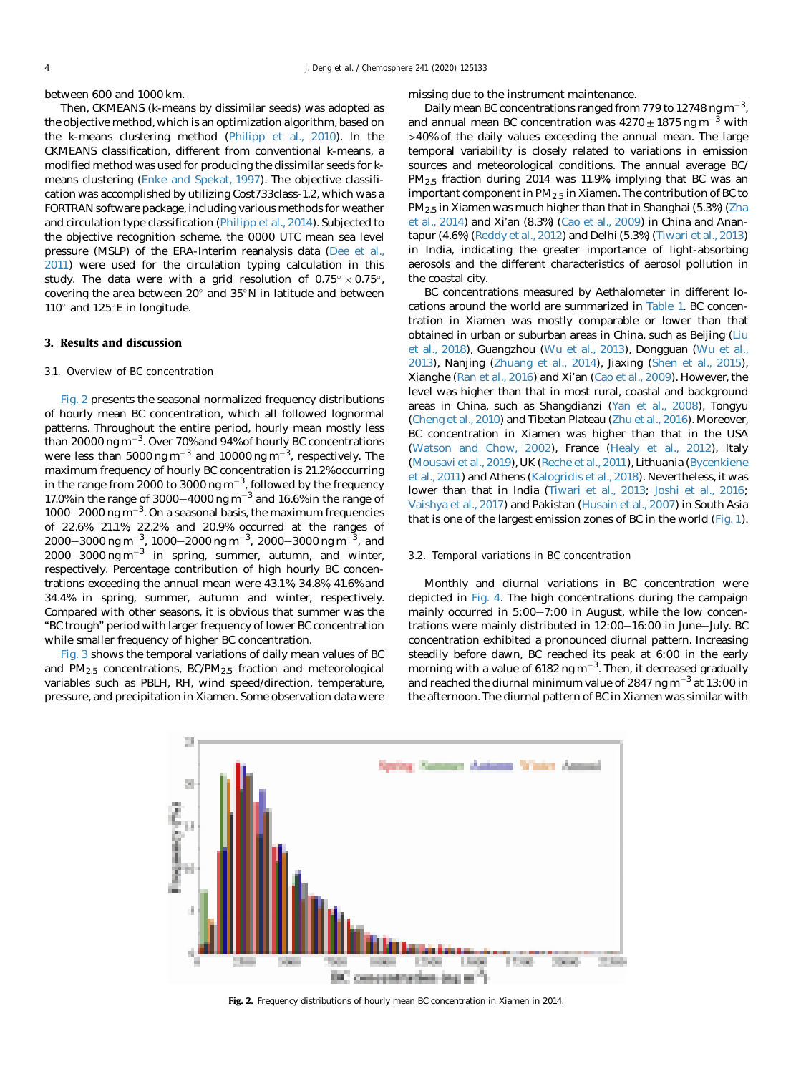between 600 and 1000 km.

Then, CKMEANS (k-means by dissimilar seeds) was adopted as the objective method, which is an optimization algorithm, based on the k-means clustering method [\(Philipp et al., 2010](#page-11-0)). In the CKMEANS classification, different from conventional k-means, a modified method was used for producing the dissimilar seeds for kmeans clustering ([Enke and Spekat, 1997](#page-10-0)). The objective classification was accomplished by utilizing Cost733class-1.2, which was a FORTRAN software package, including various methods for weather and circulation type classification ([Philipp et al., 2014\)](#page-11-0). Subjected to the objective recognition scheme, the 0000 UTC mean sea level pressure (MSLP) of the ERA-Interim reanalysis data [\(Dee et al.,](#page-10-0) [2011\)](#page-10-0) were used for the circulation typing calculation in this study. The data were with a grid resolution of  $0.75^{\circ} \times 0.75^{\circ}$ , covering the area between  $20^{\circ}$  and  $35^{\circ}$ N in latitude and between  $110^\circ$  and  $125^\circ$ E in longitude.

#### 3. Results and discussion

## 3.1. Overview of BC concentration

Fig. 2 presents the seasonal normalized frequency distributions of hourly mean BC concentration, which all followed lognormal patterns. Throughout the entire period, hourly mean mostly less than 20000 ng m $^{-3}$ . Over 70% and 94% of hourly BC concentrations were less than 5000 ng m $^{-3}$  and 10000 ng m $^{-3}$ , respectively. The maximum frequency of hourly BC concentration is 21.2% occurring in the range from 2000 to 3000 ng  $\mathrm{m}^{-3}$ , followed by the frequency 17.0% in the range of 3000–4000 ng  $m^{-3}$  and 16.6% in the range of  $1000-2000$  ng m<sup>-3</sup>. On a seasonal basis, the maximum frequencies of 22.6%, 21.1%, 22.2%, and 20.9% occurred at the ranges of 2000–3000 ng m $^{-3}$ , 1000–2000 ng m $^{-3}$ , 2000–3000 ng m $^{-3}$ , and  $2000-3000$  ng m<sup>-3</sup> in spring, summer, autumn, and winter, respectively. Percentage contribution of high hourly BC concentrations exceeding the annual mean were 43.1%, 34.8%, 41.6% and 34.4% in spring, summer, autumn and winter, respectively. Compared with other seasons, it is obvious that summer was the "BC trough" period with larger frequency of lower BC concentration while smaller frequency of higher BC concentration.

[Fig. 3](#page-4-0) shows the temporal variations of daily mean values of BC and  $PM_{2.5}$  concentrations,  $BC/PM_{2.5}$  fraction and meteorological variables such as PBLH, RH, wind speed/direction, temperature, pressure, and precipitation in Xiamen. Some observation data were

missing due to the instrument maintenance.

Daily mean BC concentrations ranged from 779 to 12748 ng m<sup>-3</sup>, and annual mean BC concentration was  $4270 \pm 1875$  ng m<sup>-3</sup> with >40% of the daily values exceeding the annual mean. The large temporal variability is closely related to variations in emission sources and meteorological conditions. The annual average BC/ PM2.5 fraction during 2014 was 11.9%, implying that BC was an important component in  $PM_{2.5}$  in Xiamen. The contribution of BC to PM2.5 in Xiamen was much higher than that in Shanghai (5.3%) ([Zha](#page-11-0) [et al., 2014\)](#page-11-0) and Xi'an (8.3%) ([Cao et al., 2009](#page-10-0)) in China and Anantapur (4.6%) [\(Reddy et al., 2012\)](#page-11-0) and Delhi (5.3%) [\(Tiwari et al., 2013\)](#page-11-0) in India, indicating the greater importance of light-absorbing aerosols and the different characteristics of aerosol pollution in the coastal city.

BC concentrations measured by Aethalometer in different locations around the world are summarized in [Table 1.](#page-4-0) BC concentration in Xiamen was mostly comparable or lower than that obtained in urban or suburban areas in China, such as Beijing [\(Liu](#page-10-0) [et al., 2018](#page-10-0)), Guangzhou [\(Wu et al., 2013\)](#page-11-0), Dongguan ([Wu et al.,](#page-11-0) [2013\)](#page-11-0), Nanjing [\(Zhuang et al., 2014\)](#page-11-0), Jiaxing ([Shen et al., 2015\)](#page-11-0), Xianghe ([Ran et al., 2016](#page-11-0)) and Xi'an [\(Cao et al., 2009](#page-10-0)). However, the level was higher than that in most rural, coastal and background areas in China, such as Shangdianzi [\(Yan et al., 2008\)](#page-11-0), Tongyu ([Cheng et al., 2010\)](#page-10-0) and Tibetan Plateau ([Zhu et al., 2016](#page-11-0)). Moreover, BC concentration in Xiamen was higher than that in the USA ([Watson and Chow, 2002](#page-11-0)), France [\(Healy et al., 2012\)](#page-10-0), Italy ([Mousavi et al., 2019\)](#page-11-0), UK [\(Reche et al., 2011](#page-11-0)), Lithuania ([Bycenkiene](#page-10-0) [et al., 2011](#page-10-0)) and Athens ([Kalogridis et al., 2018\)](#page-10-0). Nevertheless, it was lower than that in India [\(Tiwari et al., 2013](#page-11-0); [Joshi et al., 2016](#page-10-0); [Vaishya et al., 2017](#page-11-0)) and Pakistan ([Husain et al., 2007](#page-10-0)) in South Asia that is one of the largest emission zones of BC in the world ([Fig. 1\)](#page-1-0).

#### 3.2. Temporal variations in BC concentration

Monthly and diurnal variations in BC concentration were depicted in [Fig. 4.](#page-5-0) The high concentrations during the campaign mainly occurred in  $5:00-7:00$  in August, while the low concentrations were mainly distributed in  $12:00-16:00$  in June-July. BC concentration exhibited a pronounced diurnal pattern. Increasing steadily before dawn, BC reached its peak at 6:00 in the early morning with a value of 6182 ng m<sup>-3</sup>. Then, it decreased gradually and reached the diurnal minimum value of 2847 ng m<sup>-3</sup> at 13:00 in the afternoon. The diurnal pattern of BC in Xiamen was similar with



Fig. 2. Frequency distributions of hourly mean BC concentration in Xiamen in 2014.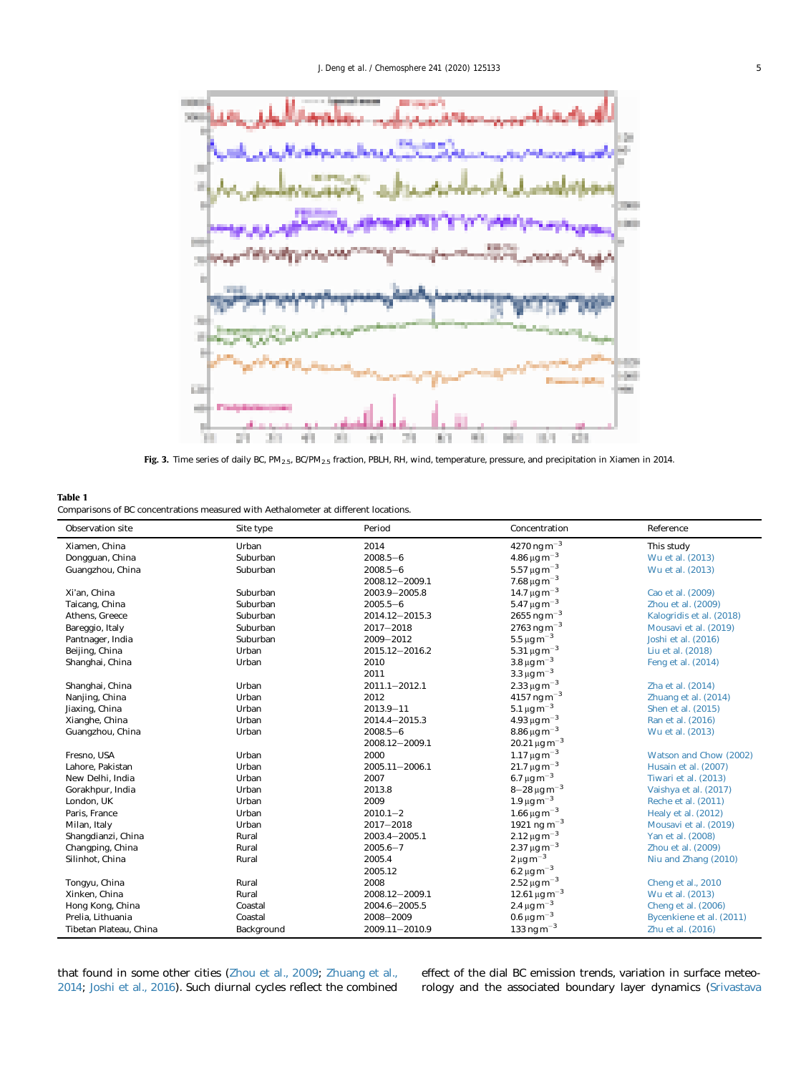<span id="page-4-0"></span>

Fig. 3. Time series of daily BC, PM2.5, BC/PM2.5 fraction, PBLH, RH, wind, temperature, pressure, and precipitation in Xiamen in 2014.

# Table 1 Comparisons of BC concentrations measured with Aethalometer at different locations.

 $\overline{a}$ 

j

| Observation site       | Site type  | Period             | Concentration                        | Reference                |
|------------------------|------------|--------------------|--------------------------------------|--------------------------|
| Xiamen, China          | Urban      | 2014               | $4270\,\mathrm{ng}\,\mathrm{m}^{-3}$ | This study               |
| Dongguan, China        | Suburban   | $2008.5 - 6$       | $4.86 \,\mathrm{\mu g\,m^{-3}}$      | Wu et al. (2013)         |
| Guangzhou, China       | Suburban   | $2008.5 - 6$       | $5.57 \,\mathrm{\mu g\,m^{-3}}$      | Wu et al. (2013)         |
|                        |            | 2008.12-2009.1     | $7.68 \,\mathrm{\mu g\,m^{-3}}$      |                          |
| Xi'an. China           | Suburban   | 2003.9-2005.8      | $14.7 \,\mathrm{\mu g\,m}^{-3}$      | Cao et al. (2009)        |
| Taicang, China         | Suburban   | $2005.5 - 6$       | $5.47 \,\mathrm{\mu g\,m}^{-3}$      | Zhou et al. (2009)       |
| Athens. Greece         | Suburban   | 2014.12-2015.3     | $2655$ ng m <sup>-3</sup>            | Kalogridis et al. (2018) |
| Bareggio, Italy        | Suburban   | $2017 - 2018$      | $2763$ ng m <sup>-3</sup>            | Mousavi et al. (2019)    |
| Pantnager, India       | Suburban   | $2009 - 2012$      | $5.5 \,\mathrm{\mu g\,m^{-3}}$       | Joshi et al. (2016)      |
| Beijing, China         | Urban      | 2015.12-2016.2     | $5.31 \,\mathrm{\mu g\,m^{-3}}$      | Liu et al. (2018)        |
| Shanghai, China        | Urban      | 2010               | $3.8 \,\mathrm{\mu g\,m^{-3}}$       | Feng et al. (2014)       |
|                        |            | 2011               | $3.3 \,\mathrm{\mu g\,m}^{-3}$       |                          |
| Shanghai, China        | Urban      | $2011.1 - 2012.1$  | 2.33 $\mu$ g m <sup>-3</sup>         | Zha et al. (2014)        |
| Nanjing, China         | Urban      | 2012               | $4157$ ng m <sup>-3</sup>            | Zhuang et al. (2014)     |
| Jiaxing, China         | Urban      | $2013.9 - 11$      | $5.1 \,\mathrm{\mu g\,m^{-3}}$       | Shen et al. (2015)       |
| Xianghe, China         | Urban      | $2014.4 - 2015.3$  | $4.93 \,\mathrm{\mu g\,m^{-3}}$      | Ran et al. (2016)        |
| Guangzhou, China       | Urban      | $2008.5 - 6$       | $8.86 \,\mathrm{\mu g\,m^{-3}}$      | Wu et al. (2013)         |
|                        |            | 2008.12-2009.1     | $20.21 \,\mathrm{\mu g\,m}^{-3}$     |                          |
| Fresno, USA            | Urban      | 2000               | $1.17 \,\mathrm{\mu g\,m}^{-3}$      | Watson and Chow (2002)   |
| Lahore, Pakistan       | Urban      | $2005.11 - 2006.1$ | $21.7 \,\mathrm{\mu g\,m}^{-3}$      | Husain et al. (2007)     |
| New Delhi. India       | Urban      | 2007               | $6.7\,\mu g\,m^{-3}$                 | Tiwari et al. (2013)     |
| Gorakhpur, India       | Urban      | 2013.8             | $8 - 28 \,\mathrm{\mu g\,m}^{-3}$    | Vaishya et al. (2017)    |
| London, UK             | Urban      | 2009               | $1.9 \,\mathrm{\mu g\,m}^{-3}$       | Reche et al. (2011)      |
| Paris, France          | Urban      | $2010.1 - 2$       | $1.66 \,\mathrm{\mu g\,m^{-3}}$      | Healy et al. $(2012)$    |
| Milan, Italy           | Urban      | $2017 - 2018$      | 1921 ng m <sup>-3</sup>              | Mousavi et al. (2019)    |
| Shangdianzi, China     | Rural      | $2003.4 - 2005.1$  | $2.12 \,\mathrm{\mu g\,m}^{-3}$      | Yan et al. (2008)        |
| Changping, China       | Rural      | $2005.6 - 7$       | $2.37 \,\mathrm{\mu g\,m}^{-3}$      | Zhou et al. (2009)       |
| Silinhot, China        | Rural      | 2005.4             | $2 \mu g m^{-3}$                     | Niu and Zhang (2010)     |
|                        |            | 2005.12            | 6.2 μg m <sup>-3</sup>               |                          |
| Tongyu, China          | Rural      | 2008               | $2.52 \,\mathrm{\mu g\,m^{-3}}$      | Cheng et al., 2010       |
| Xinken, China          | Rural      | 2008.12-2009.1     | $12.61 \,\mathrm{\mu g\,m}^{-3}$     | Wu et al. (2013)         |
| Hong Kong, China       | Coastal    | $2004.6 - 2005.5$  | 2.4 $\mu$ g m <sup>-3</sup>          | Cheng et al. (2006)      |
| Prelia. Lithuania      | Coastal    | 2008-2009          | $0.6 \,\mathrm{\mu g\,m}^{-3}$       | Bycenkiene et al. (2011) |
| Tibetan Plateau, China | Background | 2009.11-2010.9     | $133 \text{ ng m}^{-3}$              | Zhu et al. (2016)        |

that found in some other cities [\(Zhou et al., 2009](#page-11-0); [Zhuang et al.,](#page-11-0) [2014;](#page-11-0) [Joshi et al., 2016](#page-10-0)). Such diurnal cycles reflect the combined

effect of the dial BC emission trends, variation in surface meteorology and the associated boundary layer dynamics ([Srivastava](#page-11-0)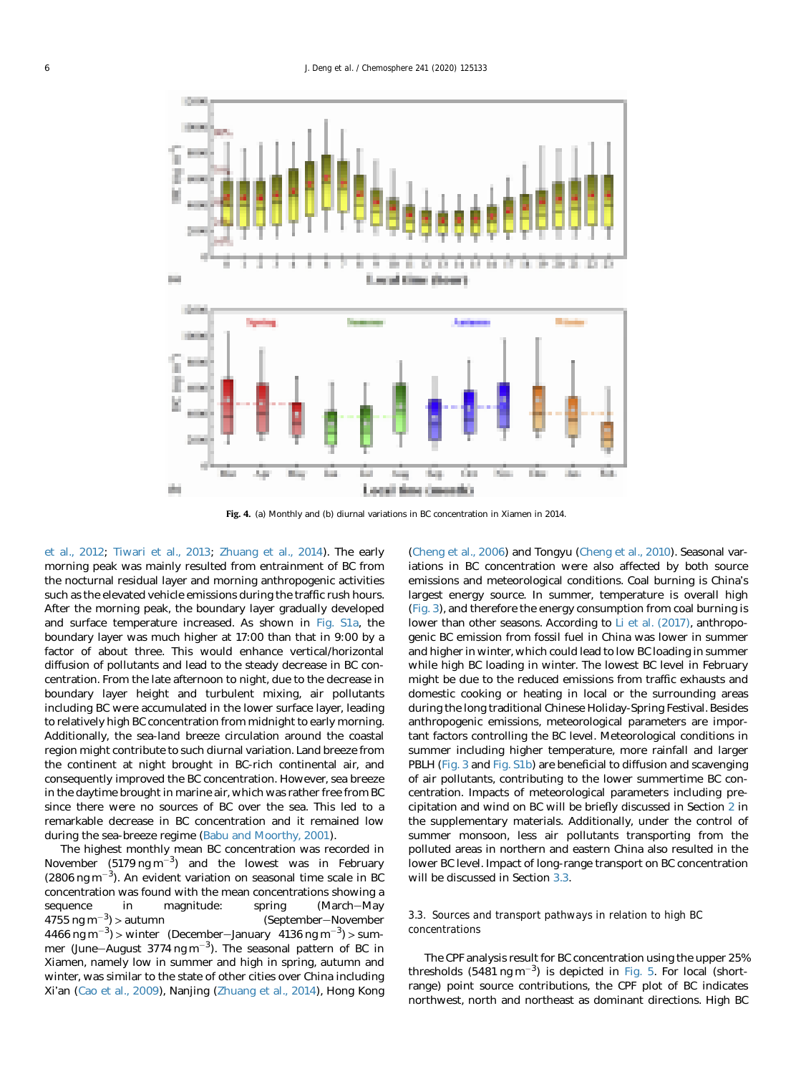<span id="page-5-0"></span>

Fig. 4. (a) Monthly and (b) diurnal variations in BC concentration in Xiamen in 2014.

[et al., 2012;](#page-11-0) [Tiwari et al., 2013;](#page-11-0) [Zhuang et al., 2014\)](#page-11-0). The early morning peak was mainly resulted from entrainment of BC from the nocturnal residual layer and morning anthropogenic activities such as the elevated vehicle emissions during the traffic rush hours. After the morning peak, the boundary layer gradually developed and surface temperature increased. As shown in Fig. S1a, the boundary layer was much higher at 17:00 than that in 9:00 by a factor of about three. This would enhance vertical/horizontal diffusion of pollutants and lead to the steady decrease in BC concentration. From the late afternoon to night, due to the decrease in boundary layer height and turbulent mixing, air pollutants including BC were accumulated in the lower surface layer, leading to relatively high BC concentration from midnight to early morning. Additionally, the sea-land breeze circulation around the coastal region might contribute to such diurnal variation. Land breeze from the continent at night brought in BC-rich continental air, and consequently improved the BC concentration. However, sea breeze in the daytime brought in marine air, which was rather free from BC since there were no sources of BC over the sea. This led to a remarkable decrease in BC concentration and it remained low during the sea-breeze regime [\(Babu and Moorthy, 2001\)](#page-10-0).

The highest monthly mean BC concentration was recorded in November  $(5179 \text{ ng m}^{-3})$  and the lowest was in February  $(2806 \text{ ng m}^{-3})$ . An evident variation on seasonal time scale in BC concentration was found with the mean concentrations showing a sequence in magnitude: spring (March-May  $4755 \text{ ng m}^{-3}$  > autumn (September-November 4466 ng m<sup>-3</sup>) > winter (December-January 4136 ng m<sup>-3</sup>) > summer (June-August 3774 ng m<sup>-3</sup>). The seasonal pattern of BC in Xiamen, namely low in summer and high in spring, autumn and winter, was similar to the state of other cities over China including Xi'an ([Cao et al., 2009](#page-10-0)), Nanjing ([Zhuang et al., 2014\)](#page-11-0), Hong Kong ([Cheng et al., 2006](#page-10-0)) and Tongyu [\(Cheng et al., 2010](#page-10-0)). Seasonal variations in BC concentration were also affected by both source emissions and meteorological conditions. Coal burning is China's largest energy source. In summer, temperature is overall high ([Fig. 3](#page-4-0)), and therefore the energy consumption from coal burning is lower than other seasons. According to [Li et al. \(2017\),](#page-10-0) anthropogenic BC emission from fossil fuel in China was lower in summer and higher in winter, which could lead to low BC loading in summer while high BC loading in winter. The lowest BC level in February might be due to the reduced emissions from traffic exhausts and domestic cooking or heating in local or the surrounding areas during the long traditional Chinese Holiday-Spring Festival. Besides anthropogenic emissions, meteorological parameters are important factors controlling the BC level. Meteorological conditions in summer including higher temperature, more rainfall and larger PBLH ([Fig. 3](#page-4-0) and Fig. S1b) are beneficial to diffusion and scavenging of air pollutants, contributing to the lower summertime BC concentration. Impacts of meteorological parameters including precipitation and wind on BC will be briefly discussed in Section [2](#page-1-0) in the supplementary materials. Additionally, under the control of summer monsoon, less air pollutants transporting from the polluted areas in northern and eastern China also resulted in the lower BC level. Impact of long-range transport on BC concentration will be discussed in Section 3.3.

# 3.3. Sources and transport pathways in relation to high BC concentrations

The CPF analysis result for BC concentration using the upper 25% thresholds  $(5481 \text{ ng m}^{-3})$  is depicted in [Fig. 5](#page-6-0). For local (shortrange) point source contributions, the CPF plot of BC indicates northwest, north and northeast as dominant directions. High BC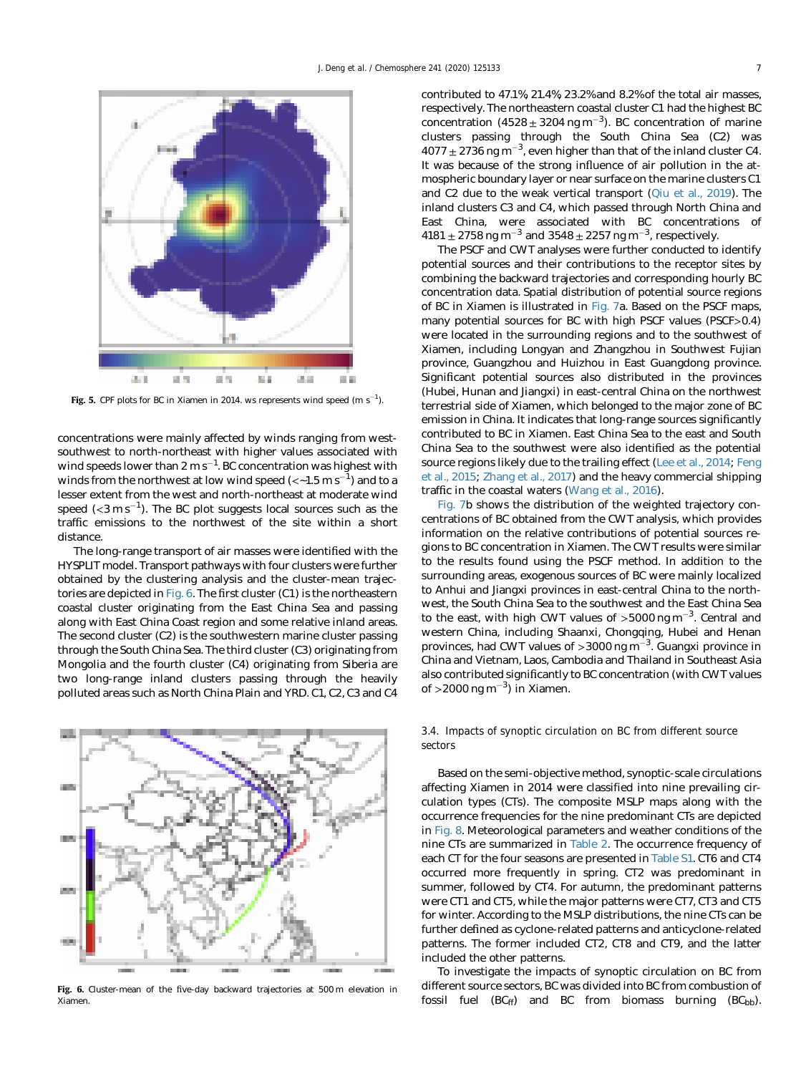<span id="page-6-0"></span>

Fig. 5. CPF plots for BC in Xiamen in 2014. ws represents wind speed (m  $s^{-1}$ ).

concentrations were mainly affected by winds ranging from westsouthwest to north-northeast with higher values associated with wind speeds lower than 2 m s $^{-1}$ . BC concentration was highest with winds from the northwest at low wind speed (<~1.5  $\mathrm{m\,s}^{-1}$ ) and to a lesser extent from the west and north-northeast at moderate wind speed (<3  $\mathrm{m\,s}^{-1}$ ). The BC plot suggests local sources such as the traffic emissions to the northwest of the site within a short distance.

The long-range transport of air masses were identified with the HYSPLIT model. Transport pathways with four clusters were further obtained by the clustering analysis and the cluster-mean trajectories are depicted in Fig. 6. The first cluster (C1) is the northeastern coastal cluster originating from the East China Sea and passing along with East China Coast region and some relative inland areas. The second cluster (C2) is the southwestern marine cluster passing through the South China Sea. The third cluster (C3) originating from Mongolia and the fourth cluster (C4) originating from Siberia are two long-range inland clusters passing through the heavily polluted areas such as North China Plain and YRD. C1, C2, C3 and C4



Fig. 6. Cluster-mean of the five-day backward trajectories at 500 m elevation in Xiamen.

contributed to 47.1%, 21.4%, 23.2% and 8.2% of the total air masses, respectively. The northeastern coastal cluster C1 had the highest BC concentration  $(4528 \pm 3204 \text{ ng m}^{-3})$ . BC concentration of marine clusters passing through the South China Sea (C2) was  $4077 \pm 2736$  ng m<sup>-3</sup>, even higher than that of the inland cluster C4. It was because of the strong influence of air pollution in the atmospheric boundary layer or near surface on the marine clusters C1 and C2 due to the weak vertical transport ([Qiu et al., 2019\)](#page-11-0). The inland clusters C3 and C4, which passed through North China and East China, were associated with BC concentrations of  $4181 \pm 2758$  ng m<sup>-3</sup> and  $3548 \pm 2257$  ng m<sup>-3</sup>, respectively.

The PSCF and CWT analyses were further conducted to identify potential sources and their contributions to the receptor sites by combining the backward trajectories and corresponding hourly BC concentration data. Spatial distribution of potential source regions of BC in Xiamen is illustrated in [Fig. 7a](#page-7-0). Based on the PSCF maps, many potential sources for BC with high PSCF values (PSCF>0.4) were located in the surrounding regions and to the southwest of Xiamen, including Longyan and Zhangzhou in Southwest Fujian province, Guangzhou and Huizhou in East Guangdong province. Significant potential sources also distributed in the provinces (Hubei, Hunan and Jiangxi) in east-central China on the northwest terrestrial side of Xiamen, which belonged to the major zone of BC emission in China. It indicates that long-range sources significantly contributed to BC in Xiamen. East China Sea to the east and South China Sea to the southwest were also identified as the potential source regions likely due to the trailing effect [\(Lee et al., 2014;](#page-10-0) [Feng](#page-10-0) [et al., 2015;](#page-10-0) [Zhang et al., 2017\)](#page-11-0) and the heavy commercial shipping traffic in the coastal waters [\(Wang et al., 2016\)](#page-11-0).

[Fig. 7](#page-7-0)b shows the distribution of the weighted trajectory concentrations of BC obtained from the CWT analysis, which provides information on the relative contributions of potential sources regions to BC concentration in Xiamen. The CWT results were similar to the results found using the PSCF method. In addition to the surrounding areas, exogenous sources of BC were mainly localized to Anhui and Jiangxi provinces in east-central China to the northwest, the South China Sea to the southwest and the East China Sea to the east, with high CWT values of  $>5000$  ng m<sup>-3</sup>. Central and western China, including Shaanxi, Chongqing, Hubei and Henan provinces, had CWT values of  $>$  3000 ng m<sup>-3</sup>. Guangxi province in China and Vietnam, Laos, Cambodia and Thailand in Southeast Asia also contributed significantly to BC concentration (with CWT values of >2000 ng m<sup>-3</sup>) in Xiamen.

# 3.4. Impacts of synoptic circulation on BC from different source sectors

Based on the semi-objective method, synoptic-scale circulations affecting Xiamen in 2014 were classified into nine prevailing circulation types (CTs). The composite MSLP maps along with the occurrence frequencies for the nine predominant CTs are depicted in [Fig. 8](#page-8-0). Meteorological parameters and weather conditions of the nine CTs are summarized in [Table 2.](#page-9-0) The occurrence frequency of each CT for the four seasons are presented in Table S1. CT6 and CT4 occurred more frequently in spring. CT2 was predominant in summer, followed by CT4. For autumn, the predominant patterns were CT1 and CT5, while the major patterns were CT7, CT3 and CT5 for winter. According to the MSLP distributions, the nine CTs can be further defined as cyclone-related patterns and anticyclone-related patterns. The former included CT2, CT8 and CT9, and the latter included the other patterns.

To investigate the impacts of synoptic circulation on BC from different source sectors, BC was divided into BC from combustion of fossil fuel  $(BC<sub>ff</sub>)$  and BC from biomass burning  $(BC<sub>bh</sub>)$ .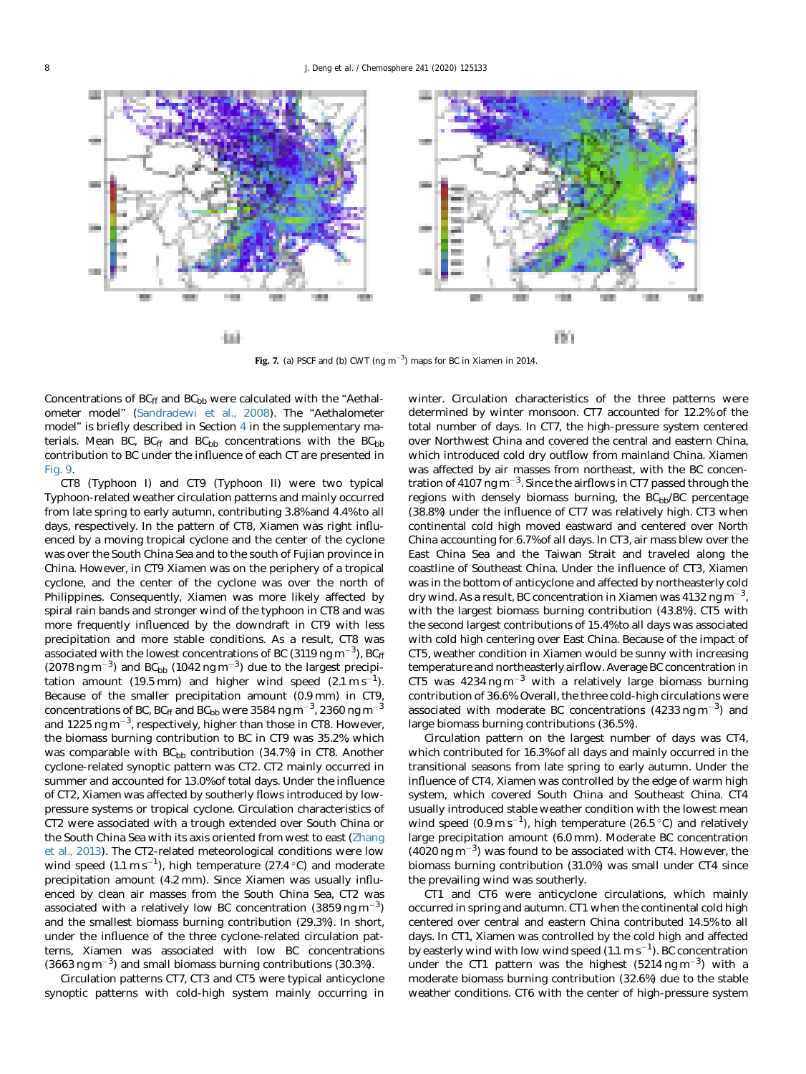<span id="page-7-0"></span>

Fig. 7. (a) PSCF and (b) CWT (ng  $m^{-3}$ ) maps for BC in Xiamen in 2014.

Concentrations of  $BC_{ff}$  and  $BC_{bb}$  were calculated with the "Aethalometer model" [\(Sandradewi et al., 2008](#page-11-0)). The "Aethalometer model" is briefly described in Section [4](#page-8-0) in the supplementary materials. Mean BC,  $BC_{ff}$  and  $BC_{bb}$  concentrations with the  $BC_{bb}$ contribution to BC under the influence of each CT are presented in [Fig. 9.](#page-9-0)

CT8 (Typhoon I) and CT9 (Typhoon II) were two typical Typhoon-related weather circulation patterns and mainly occurred from late spring to early autumn, contributing 3.8% and 4.4% to all days, respectively. In the pattern of CT8, Xiamen was right influenced by a moving tropical cyclone and the center of the cyclone was over the South China Sea and to the south of Fujian province in China. However, in CT9 Xiamen was on the periphery of a tropical cyclone, and the center of the cyclone was over the north of Philippines. Consequently, Xiamen was more likely affected by spiral rain bands and stronger wind of the typhoon in CT8 and was more frequently influenced by the downdraft in CT9 with less precipitation and more stable conditions. As a result, CT8 was associated with the lowest concentrations of BC (3119 ng m $^{-3}$ ), BC<sub>ff</sub>  $(2078 \text{ ng m}^{-3})$  and BC<sub>bb</sub>  $(1042 \text{ ng m}^{-3})$  due to the largest precipitation amount (19.5 mm) and higher wind speed  $(2.1 \text{ m s}^{-1})$ . Because of the smaller precipitation amount (0.9 mm) in CT9, concentrations of BC, BC<sub>ff</sub> and BC<sub>bb</sub> were 3584 ng m<sup>-3</sup>, 2360 ng m<sup>-3</sup> and 1225 ng m<sup>-3</sup>, respectively, higher than those in CT8. However, the biomass burning contribution to BC in CT9 was 35.2%, which was comparable with  $BC_{bb}$  contribution (34.7%) in CT8. Another cyclone-related synoptic pattern was CT2. CT2 mainly occurred in summer and accounted for 13.0% of total days. Under the influence of CT2, Xiamen was affected by southerly flows introduced by lowpressure systems or tropical cyclone. Circulation characteristics of CT2 were associated with a trough extended over South China or the South China Sea with its axis oriented from west to east ([Zhang](#page-11-0) [et al., 2013\)](#page-11-0). The CT2-related meteorological conditions were low wind speed  $(1.1 \text{ m s}^{-1})$ , high temperature  $(27.4 \text{ °C})$  and moderate precipitation amount (4.2 mm). Since Xiamen was usually influenced by clean air masses from the South China Sea, CT2 was associated with a relatively low BC concentration (3859 ng  $\text{m}^{-3}$ ) and the smallest biomass burning contribution (29.3%). In short, under the influence of the three cyclone-related circulation patterns, Xiamen was associated with low BC concentrations  $(3663 \text{ ng m}^{-3})$  and small biomass burning contributions  $(30.3\%)$ .

Circulation patterns CT7, CT3 and CT5 were typical anticyclone synoptic patterns with cold-high system mainly occurring in winter. Circulation characteristics of the three patterns were determined by winter monsoon. CT7 accounted for 12.2% of the total number of days. In CT7, the high-pressure system centered over Northwest China and covered the central and eastern China, which introduced cold dry outflow from mainland China. Xiamen was affected by air masses from northeast, with the BC concentration of 4107 ng m $^{-3}$ . Since the airflows in CT7 passed through the regions with densely biomass burning, the BCbb/BC percentage (38.8%) under the influence of CT7 was relatively high. CT3 when continental cold high moved eastward and centered over North China accounting for 6.7% of all days. In CT3, air mass blew over the East China Sea and the Taiwan Strait and traveled along the coastline of Southeast China. Under the influence of CT3, Xiamen was in the bottom of anticyclone and affected by northeasterly cold dry wind. As a result, BC concentration in Xiamen was 4132 ng m<sup>-3</sup>, with the largest biomass burning contribution (43.8%). CT5 with the second largest contributions of 15.4% to all days was associated with cold high centering over East China. Because of the impact of CT5, weather condition in Xiamen would be sunny with increasing temperature and northeasterly airflow. Average BC concentration in CT5 was  $4234$  ng m<sup>-3</sup> with a relatively large biomass burning contribution of 36.6%. Overall, the three cold-high circulations were associated with moderate BC concentrations  $(4233 \text{ ng m}^{-3})$  and large biomass burning contributions (36.5%).

Circulation pattern on the largest number of days was CT4, which contributed for 16.3% of all days and mainly occurred in the transitional seasons from late spring to early autumn. Under the influence of CT4, Xiamen was controlled by the edge of warm high system, which covered South China and Southeast China. CT4 usually introduced stable weather condition with the lowest mean wind speed  $(0.9 \text{ m s}^{-1})$ , high temperature  $(26.5 \degree \text{C})$  and relatively large precipitation amount (6.0 mm). Moderate BC concentration  $(4020 \text{ ng m}^{-3})$  was found to be associated with CT4. However, the biomass burning contribution (31.0%) was small under CT4 since the prevailing wind was southerly.

CT1 and CT6 were anticyclone circulations, which mainly occurred in spring and autumn. CT1 when the continental cold high centered over central and eastern China contributed 14.5% to all days. In CT1, Xiamen was controlled by the cold high and affected by easterly wind with low wind speed (1.1 m s $^{-1}$ ). BC concentration under the CT1 pattern was the highest  $(5214 \text{ ng m}^{-3})$  with a moderate biomass burning contribution (32.6%) due to the stable weather conditions. CT6 with the center of high-pressure system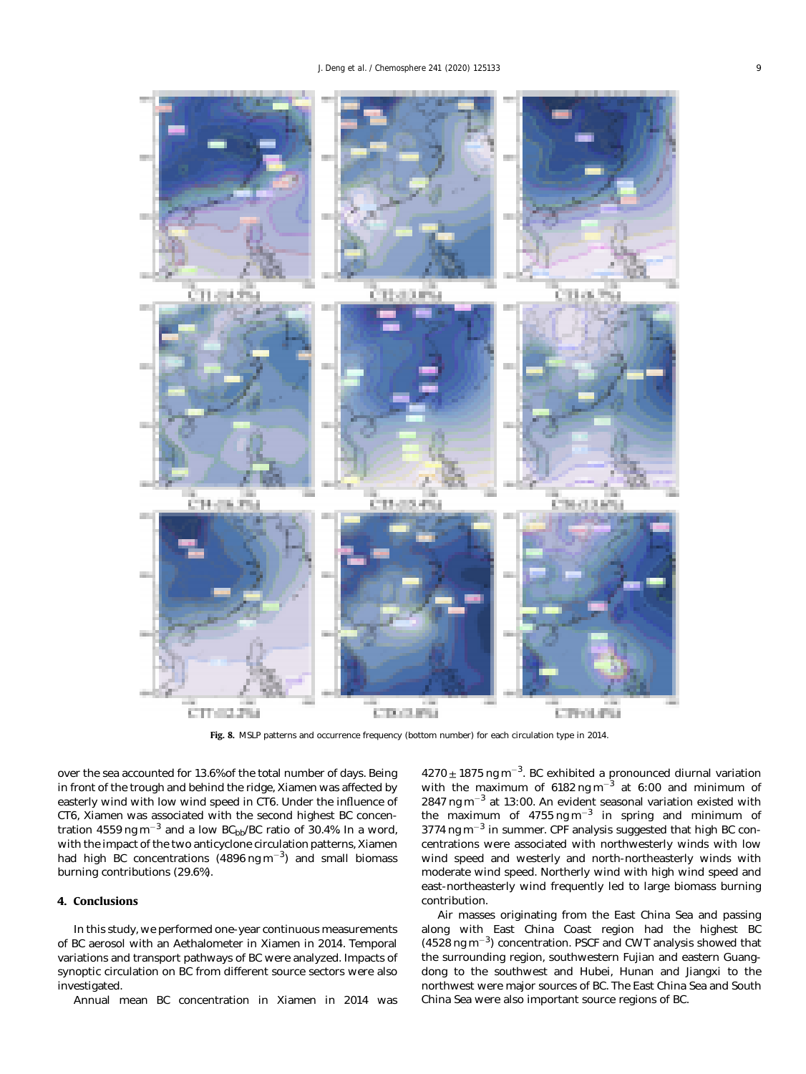<span id="page-8-0"></span>

Fig. 8. MSLP patterns and occurrence frequency (bottom number) for each circulation type in 2014.

over the sea accounted for 13.6% of the total number of days. Being in front of the trough and behind the ridge, Xiamen was affected by easterly wind with low wind speed in CT6. Under the influence of CT6, Xiamen was associated with the second highest BC concentration 4559 ng m<sup>-3</sup> and a low BC<sub>bb</sub>/BC ratio of 30.4%. In a word, with the impact of the two anticyclone circulation patterns, Xiamen had high BC concentrations  $(4896 \text{ ng m}^{-3})$  and small biomass burning contributions (29.6%).

# 4. Conclusions

In this study, we performed one-year continuous measurements of BC aerosol with an Aethalometer in Xiamen in 2014. Temporal variations and transport pathways of BC were analyzed. Impacts of synoptic circulation on BC from different source sectors were also investigated.

Annual mean BC concentration in Xiamen in 2014 was

 $4270 \pm 1875$  ng m<sup>-3</sup>. BC exhibited a pronounced diurnal variation with the maximum of  $6182$  ng m<sup>-3</sup> at  $6:00$  and minimum of  $2847$  ng m<sup>-3</sup> at 13:00. An evident seasonal variation existed with the maximum of  $4755$  ng m<sup>-3</sup> in spring and minimum of  $3774$  ng m<sup>-3</sup> in summer. CPF analysis suggested that high BC concentrations were associated with northwesterly winds with low wind speed and westerly and north-northeasterly winds with moderate wind speed. Northerly wind with high wind speed and east-northeasterly wind frequently led to large biomass burning contribution.

Air masses originating from the East China Sea and passing along with East China Coast region had the highest BC  $(4528 \text{ ng m}^{-3})$  concentration. PSCF and CWT analysis showed that the surrounding region, southwestern Fujian and eastern Guangdong to the southwest and Hubei, Hunan and Jiangxi to the northwest were major sources of BC. The East China Sea and South China Sea were also important source regions of BC.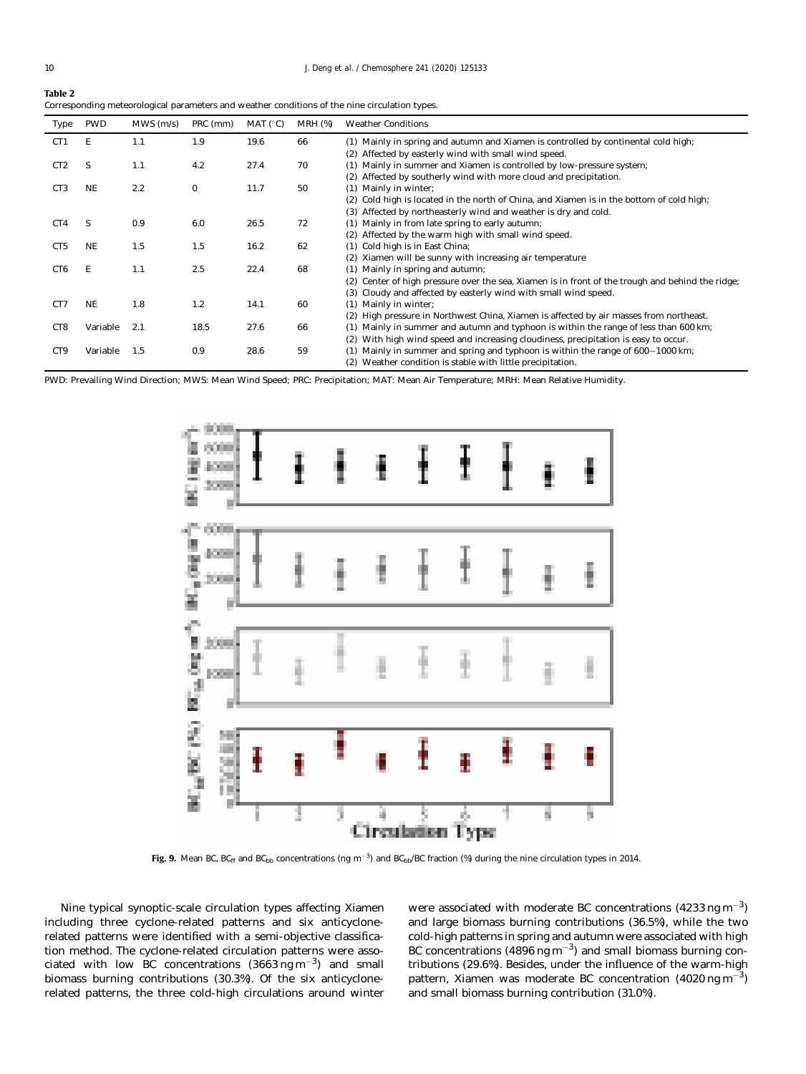<span id="page-9-0"></span>

| Table 2                                                                                       |
|-----------------------------------------------------------------------------------------------|
| Corresponding meteorological parameters and weather conditions of the nine circulation types. |

| Type            | <b>PWD</b> | $MWS$ (m/s) | PRC (mm) | MAT $(^{\circ}C)$ | $MRH$ (%) | <b>Weather Conditions</b>                                                                           |
|-----------------|------------|-------------|----------|-------------------|-----------|-----------------------------------------------------------------------------------------------------|
| CT1             | E          | 1.1         | 1.9      | 19.6              | 66        | (1) Mainly in spring and autumn and Xiamen is controlled by continental cold high;                  |
|                 |            |             |          |                   |           | (2) Affected by easterly wind with small wind speed.                                                |
| CT <sub>2</sub> | S          | 1.1         | 4.2      | 27.4              | 70        | (1) Mainly in summer and Xiamen is controlled by low-pressure system;                               |
|                 |            |             |          |                   |           | Affected by southerly wind with more cloud and precipitation.<br>(2)                                |
| CT <sub>3</sub> | NE         | 2.2         | $\bf{0}$ | 11.7              | 50        | (1) Mainly in winter;                                                                               |
|                 |            |             |          |                   |           | (2) Cold high is located in the north of China, and Xiamen is in the bottom of cold high;           |
|                 |            |             |          |                   |           | Affected by northeasterly wind and weather is dry and cold.<br>(3)                                  |
| CT4             | S          | 0.9         | 6.0      | 26.5              | 72        | (1) Mainly in from late spring to early autumn;                                                     |
|                 |            |             |          |                   |           | (2) Affected by the warm high with small wind speed.                                                |
| CT <sub>5</sub> | <b>NE</b>  | 1.5         | 1.5      | 16.2              | 62        | (1) Cold high is in East China;                                                                     |
|                 |            |             |          |                   |           | Xiamen will be sunny with increasing air temperature<br>(2)                                         |
| CT <sub>6</sub> | E          | 1.1         | 2.5      | 22.4              | 68        | (1) Mainly in spring and autumn;                                                                    |
|                 |            |             |          |                   |           | Center of high pressure over the sea, Xiamen is in front of the trough and behind the ridge;<br>(2) |
|                 |            |             |          |                   |           | Cloudy and affected by easterly wind with small wind speed.<br>(3)                                  |
| CT <sub>7</sub> | <b>NE</b>  | 1.8         | 1.2      | 14.1              | 60        | Mainly in winter;<br>(1)                                                                            |
|                 |            |             |          |                   |           | (2) High pressure in Northwest China, Xiamen is affected by air masses from northeast.              |
| CT <sub>8</sub> | Variable   | 2.1         | 18.5     | 27.6              | 66        | (1) Mainly in summer and autumn and typhoon is within the range of less than 600 km;                |
|                 |            |             |          |                   |           | With high wind speed and increasing cloudiness, precipitation is easy to occur.<br>(2)              |
| CT <sub>9</sub> | Variable   | 1.5         | 0.9      | 28.6              | 59        | $(1)$ Mainly in summer and spring and typhoon is within the range of $600-1000 \text{ km}$ ;        |
|                 |            |             |          |                   |           | (2) Weather condition is stable with little precipitation.                                          |

PWD: Prevailing Wind Direction; MWS: Mean Wind Speed; PRC: Precipitation; MAT: Mean Air Temperature; MRH: Mean Relative Humidity.



Fig. 9. Mean BC, BC<sub>ff</sub> and BC<sub>bb</sub> concentrations (ng m<sup>-3</sup>) and BC<sub>bb</sub>/BC fraction (%) during the nine circulation types in 2014.

Nine typical synoptic-scale circulation types affecting Xiamen including three cyclone-related patterns and six anticyclonerelated patterns were identified with a semi-objective classification method. The cyclone-related circulation patterns were associated with low BC concentrations  $(3663 \text{ ng m}^{-3})$  and small biomass burning contributions (30.3%). Of the six anticyclonerelated patterns, the three cold-high circulations around winter

were associated with moderate BC concentrations  $(4233 \text{ ng m}^{-3})$ and large biomass burning contributions (36.5%), while the two cold-high patterns in spring and autumn were associated with high BC concentrations  $(4896 \text{ ng m}^{-3})$  and small biomass burning contributions (29.6%). Besides, under the influence of the warm-high pattern, Xiamen was moderate BC concentration (4020 ng m<sup>-3</sup>) and small biomass burning contribution (31.0%).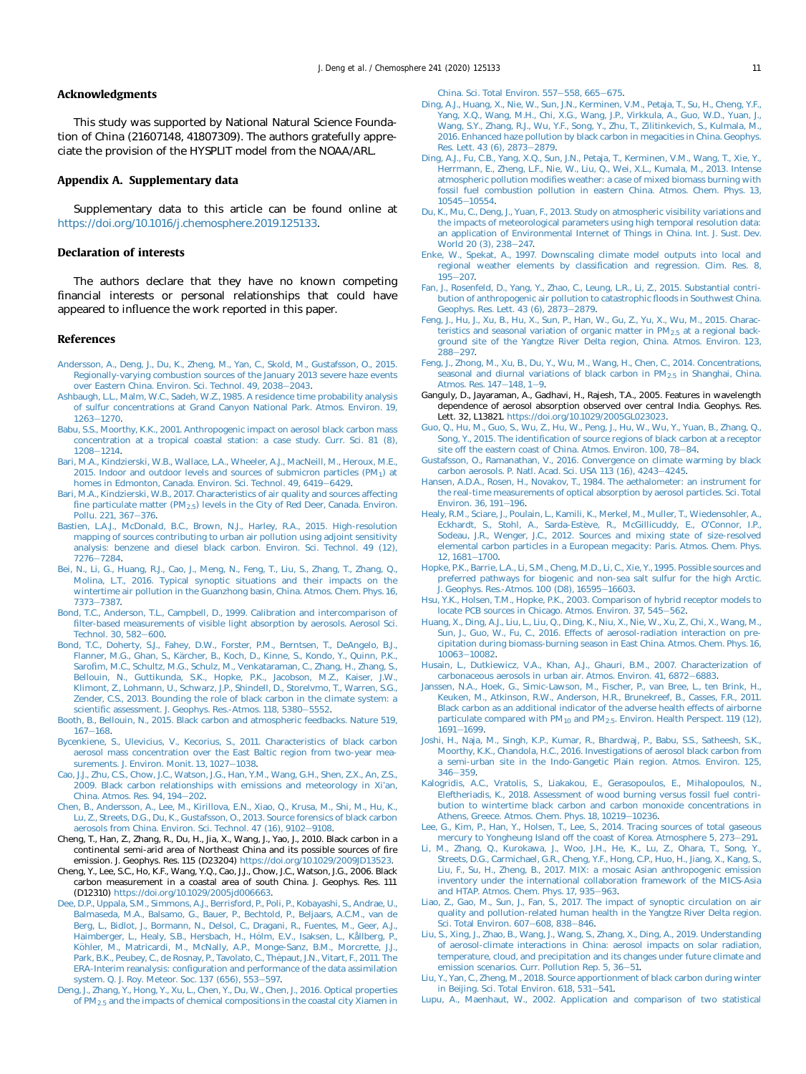## <span id="page-10-0"></span>Acknowledgments

This study was supported by National Natural Science Foundation of China (21607148, 41807309). The authors gratefully appreciate the provision of the HYSPLIT model from the NOAA/ARL.

# Appendix A. Supplementary data

Supplementary data to this article can be found online at <https://doi.org/10.1016/j.chemosphere.2019.125133>.

#### Declaration of interests

The authors declare that they have no known competing financial interests or personal relationships that could have appeared to influence the work reported in this paper.

#### References

- [Andersson, A., Deng, J., Du, K., Zheng, M., Yan, C., Skold, M., Gustafsson, O., 2015.](http://refhub.elsevier.com/S0045-6535(19)32372-0/sref1) [Regionally-varying combustion sources of the January 2013 severe haze events](http://refhub.elsevier.com/S0045-6535(19)32372-0/sref1) [over Eastern China. Environ. Sci. Technol. 49, 2038](http://refhub.elsevier.com/S0045-6535(19)32372-0/sref1)-[2043](http://refhub.elsevier.com/S0045-6535(19)32372-0/sref1).
- [Ashbaugh, L.L., Malm, W.C., Sadeh, W.Z., 1985. A residence time probability analysis](http://refhub.elsevier.com/S0045-6535(19)32372-0/sref2) [of sulfur concentrations at Grand Canyon National Park. Atmos. Environ. 19,](http://refhub.elsevier.com/S0045-6535(19)32372-0/sref2)  $1263 - 1270$  $1263 - 1270$ .
- [Babu, S.S., Moorthy, K.K., 2001. Anthropogenic impact on aerosol black carbon mass](http://refhub.elsevier.com/S0045-6535(19)32372-0/sref3) [concentration at a tropical coastal station: a case study. Curr. Sci. 81 \(8\),](http://refhub.elsevier.com/S0045-6535(19)32372-0/sref3) [1208](http://refhub.elsevier.com/S0045-6535(19)32372-0/sref3)-[1214.](http://refhub.elsevier.com/S0045-6535(19)32372-0/sref3)
- [Bari, M.A., Kindzierski, W.B., Wallace, L.A., Wheeler, A.J., MacNeill, M., Heroux, M.E.,](http://refhub.elsevier.com/S0045-6535(19)32372-0/sref4) 2015. Indoor and outdoor levels and sources of submicron particles  $(PM<sub>1</sub>)$  at [homes in Edmonton, Canada. Environ. Sci. Technol. 49, 6419](http://refhub.elsevier.com/S0045-6535(19)32372-0/sref4)-[6429.](http://refhub.elsevier.com/S0045-6535(19)32372-0/sref4)
- [Bari, M.A., Kindzierski, W.B., 2017. Characteristics of air quality and sources affecting](http://refhub.elsevier.com/S0045-6535(19)32372-0/sref5) fine particulate matter (PM<sub>2.5</sub>) levels in the City of Red Deer, Canada. Environ. [Pollu. 221, 367](http://refhub.elsevier.com/S0045-6535(19)32372-0/sref5)-[376.](http://refhub.elsevier.com/S0045-6535(19)32372-0/sref5)
- [Bastien, L.A.J., McDonald, B.C., Brown, N.J., Harley, R.A., 2015. High-resolution](http://refhub.elsevier.com/S0045-6535(19)32372-0/sref6) [mapping of sources contributing to urban air pollution using adjoint sensitivity](http://refhub.elsevier.com/S0045-6535(19)32372-0/sref6) [analysis: benzene and diesel black carbon. Environ. Sci. Technol. 49 \(12\),](http://refhub.elsevier.com/S0045-6535(19)32372-0/sref6) [7276](http://refhub.elsevier.com/S0045-6535(19)32372-0/sref6)-[7284](http://refhub.elsevier.com/S0045-6535(19)32372-0/sref6).
- [Bei, N., Li, G., Huang, R.J., Cao, J., Meng, N., Feng, T., Liu, S., Zhang, T., Zhang, Q.,](http://refhub.elsevier.com/S0045-6535(19)32372-0/sref7) [Molina, L.T., 2016. Typical synoptic situations and their impacts on the](http://refhub.elsevier.com/S0045-6535(19)32372-0/sref7) [wintertime air pollution in the Guanzhong basin, China. Atmos. Chem. Phys. 16,](http://refhub.elsevier.com/S0045-6535(19)32372-0/sref7) [7373](http://refhub.elsevier.com/S0045-6535(19)32372-0/sref7)-[7387.](http://refhub.elsevier.com/S0045-6535(19)32372-0/sref7)
- [Bond, T.C., Anderson, T.L., Campbell, D., 1999. Calibration and intercomparison of](http://refhub.elsevier.com/S0045-6535(19)32372-0/sref8) fi[lter-based measurements of visible light absorption by aerosols. Aerosol Sci.](http://refhub.elsevier.com/S0045-6535(19)32372-0/sref8) [Technol. 30, 582](http://refhub.elsevier.com/S0045-6535(19)32372-0/sref8)-[600](http://refhub.elsevier.com/S0045-6535(19)32372-0/sref8).
- [Bond, T.C., Doherty, S.J., Fahey, D.W., Forster, P.M., Berntsen, T., DeAngelo, B.J.,](http://refhub.elsevier.com/S0045-6535(19)32372-0/sref9) [Flanner, M.G., Ghan, S., K](http://refhub.elsevier.com/S0045-6535(19)32372-0/sref9)ärcher, B., Koch, D., Kinne, S., Kondo, Y., Quinn, P.K., Sarofi[m, M.C., Schultz, M.G., Schulz, M., Venkataraman, C., Zhang, H., Zhang, S.,](http://refhub.elsevier.com/S0045-6535(19)32372-0/sref9) [Bellouin, N., Guttikunda, S.K., Hopke, P.K., Jacobson, M.Z., Kaiser, J.W.,](http://refhub.elsevier.com/S0045-6535(19)32372-0/sref9) [Klimont, Z., Lohmann, U., Schwarz, J.P., Shindell, D., Storelvmo, T., Warren, S.G.,](http://refhub.elsevier.com/S0045-6535(19)32372-0/sref9) [Zender, C.S., 2013. Bounding the role of black carbon in the climate system: a](http://refhub.elsevier.com/S0045-6535(19)32372-0/sref9) scientifi[c assessment. J. Geophys. Res.-Atmos. 118, 5380](http://refhub.elsevier.com/S0045-6535(19)32372-0/sref9)-[5552.](http://refhub.elsevier.com/S0045-6535(19)32372-0/sref9)
- [Booth, B., Bellouin, N., 2015. Black carbon and atmospheric feedbacks. Nature 519,](http://refhub.elsevier.com/S0045-6535(19)32372-0/sref10)  $167 - 168.$  $167 - 168.$  $167 - 168.$  $167 - 168.$
- [Bycenkiene, S., Ulevicius, V., Kecorius, S., 2011. Characteristics of black carbon](http://refhub.elsevier.com/S0045-6535(19)32372-0/sref11) [aerosol mass concentration over the East Baltic region from two-year mea](http://refhub.elsevier.com/S0045-6535(19)32372-0/sref11)[surements. J. Environ. Monit. 13, 1027](http://refhub.elsevier.com/S0045-6535(19)32372-0/sref11)-[1038](http://refhub.elsevier.com/S0045-6535(19)32372-0/sref11).
- [Cao, J.J., Zhu, C.S., Chow, J.C., Watson, J.G., Han, Y.M., Wang, G.H., Shen, Z.X., An, Z.S.,](http://refhub.elsevier.com/S0045-6535(19)32372-0/sref12) [2009. Black carbon relationships with emissions and meteorology in Xi](http://refhub.elsevier.com/S0045-6535(19)32372-0/sref12)'an, [China. Atmos. Res. 94, 194](http://refhub.elsevier.com/S0045-6535(19)32372-0/sref12)-[202.](http://refhub.elsevier.com/S0045-6535(19)32372-0/sref12)
- [Chen, B., Andersson, A., Lee, M., Kirillova, E.N., Xiao, Q., Krusa, M., Shi, M., Hu, K.,](http://refhub.elsevier.com/S0045-6535(19)32372-0/sref13) [Lu, Z., Streets, D.G., Du, K., Gustafsson, O., 2013. Source forensics of black carbon](http://refhub.elsevier.com/S0045-6535(19)32372-0/sref13) [aerosols from China. Environ. Sci. Technol. 47 \(16\), 9102](http://refhub.elsevier.com/S0045-6535(19)32372-0/sref13)-[9108](http://refhub.elsevier.com/S0045-6535(19)32372-0/sref13).
- Cheng, T., Han, Z., Zhang, R., Du, H., Jia, X., Wang, J., Yao, J., 2010. Black carbon in a continental semi-arid area of Northeast China and its possible sources of fire emission. J. Geophys. Res. 115 (D23204) <https://doi.org/10.1029/2009JD13523>.
- Cheng, Y., Lee, S.C., Ho, K.F., Wang, Y.Q., Cao, J.J., Chow, J.C., Watson, J.G., 2006. Black carbon measurement in a coastal area of south China. J. Geophys. Res. 111 (D12310) [https://doi.org/10.1029/2005jd006663.](https://doi.org/10.1029/2005jd006663)
- [Dee, D.P., Uppala, S.M., Simmons, A.J., Berrisford, P., Poli, P., Kobayashi, S., Andrae, U.,](http://refhub.elsevier.com/S0045-6535(19)32372-0/sref16) [Balmaseda, M.A., Balsamo, G., Bauer, P., Bechtold, P., Beljaars, A.C.M., van de](http://refhub.elsevier.com/S0045-6535(19)32372-0/sref16) [Berg, L., Bidlot, J., Bormann, N., Delsol, C., Dragani, R., Fuentes, M., Geer, A.J.,](http://refhub.elsevier.com/S0045-6535(19)32372-0/sref16) [Haimberger, L., Healy, S.B., Hersbach, H., H](http://refhub.elsevier.com/S0045-6535(19)32372-0/sref16)ó[lm, E.V., Isaksen, L., Kållberg, P.,](http://refhub.elsevier.com/S0045-6535(19)32372-0/sref16) Köhler, M., Matricardi, M., McNally, A.P., Monge-Sanz, B.M., Morcrette, J.J., [Park, B.K., Peubey, C., de Rosnay, P., Tavolato, C., Th](http://refhub.elsevier.com/S0045-6535(19)32372-0/sref16)é[paut, J.N., Vitart, F., 2011. The](http://refhub.elsevier.com/S0045-6535(19)32372-0/sref16) ERA-Interim reanalysis: confi[guration and performance of the data assimilation](http://refhub.elsevier.com/S0045-6535(19)32372-0/sref16) [system. Q. J. Roy. Meteor. Soc. 137 \(656\), 553](http://refhub.elsevier.com/S0045-6535(19)32372-0/sref16)-[597.](http://refhub.elsevier.com/S0045-6535(19)32372-0/sref16)
- [Deng, J., Zhang, Y., Hong, Y., Xu, L., Chen, Y., Du, W., Chen, J., 2016. Optical properties](http://refhub.elsevier.com/S0045-6535(19)32372-0/sref17) [of PM2.5](http://refhub.elsevier.com/S0045-6535(19)32372-0/sref17) [and the impacts of chemical compositions in the coastal city Xiamen in](http://refhub.elsevier.com/S0045-6535(19)32372-0/sref17)

[China. Sci. Total Environ. 557](http://refhub.elsevier.com/S0045-6535(19)32372-0/sref17)-[558, 665](http://refhub.elsevier.com/S0045-6535(19)32372-0/sref17)-[675.](http://refhub.elsevier.com/S0045-6535(19)32372-0/sref17)

- [Ding, A.J., Huang, X., Nie, W., Sun, J.N., Kerminen, V.M., Petaja, T., Su, H., Cheng, Y.F.,](http://refhub.elsevier.com/S0045-6535(19)32372-0/sref18) [Yang, X.Q., Wang, M.H., Chi, X.G., Wang, J.P., Virkkula, A., Guo, W.D., Yuan, J.,](http://refhub.elsevier.com/S0045-6535(19)32372-0/sref18) [Wang, S.Y., Zhang, R.J., Wu, Y.F., Song, Y., Zhu, T., Zilitinkevich, S., Kulmala, M.,](http://refhub.elsevier.com/S0045-6535(19)32372-0/sref18) [2016. Enhanced haze pollution by black carbon in megacities in China. Geophys.](http://refhub.elsevier.com/S0045-6535(19)32372-0/sref18) [Res. Lett. 43 \(6\), 2873](http://refhub.elsevier.com/S0045-6535(19)32372-0/sref18)–[2879](http://refhub.elsevier.com/S0045-6535(19)32372-0/sref18).
- [Ding, A.J., Fu, C.B., Yang, X.Q., Sun, J.N., Petaja, T., Kerminen, V.M., Wang, T., Xie, Y.,](http://refhub.elsevier.com/S0045-6535(19)32372-0/sref19) [Herrmann, E., Zheng, L.F., Nie, W., Liu, Q., Wei, X.L., Kumala, M., 2013. Intense](http://refhub.elsevier.com/S0045-6535(19)32372-0/sref19) atmospheric pollution modifi[es weather: a case of mixed biomass burning with](http://refhub.elsevier.com/S0045-6535(19)32372-0/sref19) [fossil fuel combustion pollution in eastern China. Atmos. Chem. Phys. 13,](http://refhub.elsevier.com/S0045-6535(19)32372-0/sref19) [10545](http://refhub.elsevier.com/S0045-6535(19)32372-0/sref19)-[10554](http://refhub.elsevier.com/S0045-6535(19)32372-0/sref19).
- [Du, K., Mu, C., Deng, J., Yuan, F., 2013. Study on atmospheric visibility variations and](http://refhub.elsevier.com/S0045-6535(19)32372-0/sref20) [the impacts of meteorological parameters using high temporal resolution data:](http://refhub.elsevier.com/S0045-6535(19)32372-0/sref20) [an application of Environmental Internet of Things in China. Int. J. Sust. Dev.](http://refhub.elsevier.com/S0045-6535(19)32372-0/sref20) [World 20 \(3\), 238](http://refhub.elsevier.com/S0045-6535(19)32372-0/sref20)-[247.](http://refhub.elsevier.com/S0045-6535(19)32372-0/sref20)
- [Enke, W., Spekat, A., 1997. Downscaling climate model outputs into local and](http://refhub.elsevier.com/S0045-6535(19)32372-0/sref21) [regional weather elements by classi](http://refhub.elsevier.com/S0045-6535(19)32372-0/sref21)fication and regression. Clim. Res. 8,  $195 - 207$  $195 - 207$ .
- [Fan, J., Rosenfeld, D., Yang, Y., Zhao, C., Leung, L.R., Li, Z., 2015. Substantial contri](http://refhub.elsevier.com/S0045-6535(19)32372-0/sref22)[bution of anthropogenic air pollution to catastrophic](http://refhub.elsevier.com/S0045-6535(19)32372-0/sref22) floods in Southwest China. [Geophys. Res. Lett. 43 \(6\), 2873](http://refhub.elsevier.com/S0045-6535(19)32372-0/sref22)-[2879.](http://refhub.elsevier.com/S0045-6535(19)32372-0/sref22)
- [Feng, J., Hu, J., Xu, B., Hu, X., Sun, P., Han, W., Gu, Z., Yu, X., Wu, M., 2015. Charac](http://refhub.elsevier.com/S0045-6535(19)32372-0/sref23)teristics and seasonal variation of organic matter in  $PM_{2.5}$  [at a regional back](http://refhub.elsevier.com/S0045-6535(19)32372-0/sref23)[ground site of the Yangtze River Delta region, China. Atmos. Environ. 123,](http://refhub.elsevier.com/S0045-6535(19)32372-0/sref23) [288](http://refhub.elsevier.com/S0045-6535(19)32372-0/sref23)e[297.](http://refhub.elsevier.com/S0045-6535(19)32372-0/sref23)
- [Feng, J., Zhong, M., Xu, B., Du, Y., Wu, M., Wang, H., Chen, C., 2014. Concentrations,](http://refhub.elsevier.com/S0045-6535(19)32372-0/sref24) [seasonal and diurnal variations of black carbon in PM2.5](http://refhub.elsevier.com/S0045-6535(19)32372-0/sref24) [in Shanghai, China.](http://refhub.elsevier.com/S0045-6535(19)32372-0/sref24) Atmos. Res.  $147-148$ ,  $1-9$  $1-9$ .
- Ganguly, D., Jayaraman, A., Gadhavi, H., Rajesh, T.A., 2005. Features in wavelength dependence of aerosol absorption observed over central India. Geophys. Res. Lett. 32, L13821. [https://doi.org/10.1029/2005GL023023.](https://doi.org/10.1029/2005GL023023)
- [Guo, Q., Hu, M., Guo, S., Wu, Z., Hu, W., Peng, J., Hu, W., Wu, Y., Yuan, B., Zhang, Q.,](http://refhub.elsevier.com/S0045-6535(19)32372-0/sref26) Song, Y., 2015. The identifi[cation of source regions of black carbon at a receptor](http://refhub.elsevier.com/S0045-6535(19)32372-0/sref26) [site off the eastern coast of China. Atmos. Environ. 100, 78](http://refhub.elsevier.com/S0045-6535(19)32372-0/sref26)-[84.](http://refhub.elsevier.com/S0045-6535(19)32372-0/sref26)
- [Gustafsson, O., Ramanathan, V., 2016. Convergence on climate warming by black](http://refhub.elsevier.com/S0045-6535(19)32372-0/sref27) [carbon aerosols. P. Natl. Acad. Sci. USA 113 \(16\), 4243](http://refhub.elsevier.com/S0045-6535(19)32372-0/sref27)-[4245.](http://refhub.elsevier.com/S0045-6535(19)32372-0/sref27)
- [Hansen, A.D.A., Rosen, H., Novakov, T., 1984. The aethalometer: an instrument for](http://refhub.elsevier.com/S0045-6535(19)32372-0/sref28) [the real-time measurements of optical absorption by aerosol particles. Sci. Total](http://refhub.elsevier.com/S0045-6535(19)32372-0/sref28) [Environ. 36, 191](http://refhub.elsevier.com/S0045-6535(19)32372-0/sref28)-[196.](http://refhub.elsevier.com/S0045-6535(19)32372-0/sref28)
- [Healy, R.M., Sciare, J., Poulain, L., Kamili, K., Merkel, M., Muller, T., Wiedensohler, A.,](http://refhub.elsevier.com/S0045-6535(19)32372-0/sref29) [Eckhardt, S., Stohl, A., Sarda-Est](http://refhub.elsevier.com/S0045-6535(19)32372-0/sref29)è[ve, R., McGillicuddy, E., O](http://refhub.elsevier.com/S0045-6535(19)32372-0/sref29)'Connor, I.P., [Sodeau, J.R., Wenger, J.C., 2012. Sources and mixing state of size-resolved](http://refhub.elsevier.com/S0045-6535(19)32372-0/sref29) [elemental carbon particles in a European megacity: Paris. Atmos. Chem. Phys.](http://refhub.elsevier.com/S0045-6535(19)32372-0/sref29) [12, 1681](http://refhub.elsevier.com/S0045-6535(19)32372-0/sref29)-[1700.](http://refhub.elsevier.com/S0045-6535(19)32372-0/sref29)
- [Hopke, P.K., Barrie, L.A., Li, S.M., Cheng, M.D., Li, C., Xie, Y., 1995. Possible sources and](http://refhub.elsevier.com/S0045-6535(19)32372-0/sref30) [preferred pathways for biogenic and non-sea salt sulfur for the high Arctic.](http://refhub.elsevier.com/S0045-6535(19)32372-0/sref30) [J. Geophys. Res.-Atmos. 100 \(D8\), 16595](http://refhub.elsevier.com/S0045-6535(19)32372-0/sref30)-[16603.](http://refhub.elsevier.com/S0045-6535(19)32372-0/sref30)
- [Hsu, Y.K., Holsen, T.M., Hopke, P.K., 2003. Comparison of hybrid receptor models to](http://refhub.elsevier.com/S0045-6535(19)32372-0/sref31) [locate PCB sources in Chicago. Atmos. Environ. 37, 545](http://refhub.elsevier.com/S0045-6535(19)32372-0/sref31)-[562](http://refhub.elsevier.com/S0045-6535(19)32372-0/sref31).
- [Huang, X., Ding, A.J., Liu, L., Liu, Q., Ding, K., Niu, X., Nie, W., Xu, Z., Chi, X., Wang, M.,](http://refhub.elsevier.com/S0045-6535(19)32372-0/sref32) [Sun, J., Guo, W., Fu, C., 2016. Effects of aerosol-radiation interaction on pre](http://refhub.elsevier.com/S0045-6535(19)32372-0/sref32)[cipitation during biomass-burning season in East China. Atmos. Chem. Phys. 16,](http://refhub.elsevier.com/S0045-6535(19)32372-0/sref32)  $10063 - 10082$  $10063 - 10082$
- [Husain, L., Dutkiewicz, V.A., Khan, A.J., Ghauri, B.M., 2007. Characterization of](http://refhub.elsevier.com/S0045-6535(19)32372-0/sref33) [carbonaceous aerosols in urban air. Atmos. Environ. 41, 6872](http://refhub.elsevier.com/S0045-6535(19)32372-0/sref33)-[6883](http://refhub.elsevier.com/S0045-6535(19)32372-0/sref33).
- [Janssen, N.A., Hoek, G., Simic-Lawson, M., Fischer, P., van Bree, L., ten Brink, H.,](http://refhub.elsevier.com/S0045-6535(19)32372-0/sref34) [Keuken, M., Atkinson, R.W., Anderson, H.R., Brunekreef, B., Casses, F.R., 2011.](http://refhub.elsevier.com/S0045-6535(19)32372-0/sref34) [Black carbon as an additional indicator of the adverse health effects of airborne](http://refhub.elsevier.com/S0045-6535(19)32372-0/sref34) particulate compared with PM<sub>10</sub> and PM<sub>2.5</sub>. Environ. Health Perspect. 119 (12),  $1691 - 1699.$  $1691 - 1699.$  $1691 - 1699.$  $1691 - 1699.$
- [Joshi, H., Naja, M., Singh, K.P., Kumar, R., Bhardwaj, P., Babu, S.S., Satheesh, S.K.,](http://refhub.elsevier.com/S0045-6535(19)32372-0/sref35) [Moorthy, K.K., Chandola, H.C., 2016. Investigations of aerosol black carbon from](http://refhub.elsevier.com/S0045-6535(19)32372-0/sref35) [a semi-urban site in the Indo-Gangetic Plain region. Atmos. Environ. 125,](http://refhub.elsevier.com/S0045-6535(19)32372-0/sref35) [346](http://refhub.elsevier.com/S0045-6535(19)32372-0/sref35)-[359](http://refhub.elsevier.com/S0045-6535(19)32372-0/sref35).
- [Kalogridis, A.C., Vratolis, S., Liakakou, E., Gerasopoulos, E., Mihalopoulos, N.,](http://refhub.elsevier.com/S0045-6535(19)32372-0/sref36) [Eleftheriadis, K., 2018. Assessment of wood burning versus fossil fuel contri](http://refhub.elsevier.com/S0045-6535(19)32372-0/sref36)[bution to wintertime black carbon and carbon monoxide concentrations in](http://refhub.elsevier.com/S0045-6535(19)32372-0/sref36) [Athens, Greece. Atmos. Chem. Phys. 18, 10219](http://refhub.elsevier.com/S0045-6535(19)32372-0/sref36)-[10236.](http://refhub.elsevier.com/S0045-6535(19)32372-0/sref36)
- [Lee, G., Kim, P., Han, Y., Holsen, T., Lee, S., 2014. Tracing sources of total gaseous](http://refhub.elsevier.com/S0045-6535(19)32372-0/sref37) [mercury to Yongheung Island off the coast of Korea. Atmosphere 5, 273](http://refhub.elsevier.com/S0045-6535(19)32372-0/sref37)-[291.](http://refhub.elsevier.com/S0045-6535(19)32372-0/sref37)
- [Li, M., Zhang, Q., Kurokawa, J., Woo, J.H., He, K., Lu, Z., Ohara, T., Song, Y.,](http://refhub.elsevier.com/S0045-6535(19)32372-0/sref38) [Streets, D.G., Carmichael, G.R., Cheng, Y.F., Hong, C.P., Huo, H., Jiang, X., Kang, S.,](http://refhub.elsevier.com/S0045-6535(19)32372-0/sref38) [Liu, F., Su, H., Zheng, B., 2017. MIX: a mosaic Asian anthropogenic emission](http://refhub.elsevier.com/S0045-6535(19)32372-0/sref38) [inventory under the international collaboration framework of the MICS-Asia](http://refhub.elsevier.com/S0045-6535(19)32372-0/sref38) and HTAP. Atmos. Chem. Phys.  $17, 935-963$ .
- [Liao, Z., Gao, M., Sun, J., Fan, S., 2017. The impact of synoptic circulation on air](http://refhub.elsevier.com/S0045-6535(19)32372-0/sref39) [quality and pollution-related human health in the Yangtze River Delta region.](http://refhub.elsevier.com/S0045-6535(19)32372-0/sref39) [Sci. Total Environ. 607](http://refhub.elsevier.com/S0045-6535(19)32372-0/sref39)-[608, 838](http://refhub.elsevier.com/S0045-6535(19)32372-0/sref39)-[846.](http://refhub.elsevier.com/S0045-6535(19)32372-0/sref39)
- [Liu, S., Xing, J., Zhao, B., Wang, J., Wang, S., Zhang, X., Ding, A., 2019. Understanding](http://refhub.elsevier.com/S0045-6535(19)32372-0/sref40) [of aerosol-climate interactions in China: aerosol impacts on solar radiation,](http://refhub.elsevier.com/S0045-6535(19)32372-0/sref40) [temperature, cloud, and precipitation and its changes under future climate and](http://refhub.elsevier.com/S0045-6535(19)32372-0/sref40) [emission scenarios. Curr. Pollution Rep. 5, 36](http://refhub.elsevier.com/S0045-6535(19)32372-0/sref40)-[51.](http://refhub.elsevier.com/S0045-6535(19)32372-0/sref40)
- [Liu, Y., Yan, C., Zheng, M., 2018. Source apportionment of black carbon during winter](http://refhub.elsevier.com/S0045-6535(19)32372-0/sref41) in Beijing. Sci. Total Environ.  $618, 531-541$ .
- [Lupu, A., Maenhaut, W., 2002. Application and comparison of two statistical](http://refhub.elsevier.com/S0045-6535(19)32372-0/sref42)